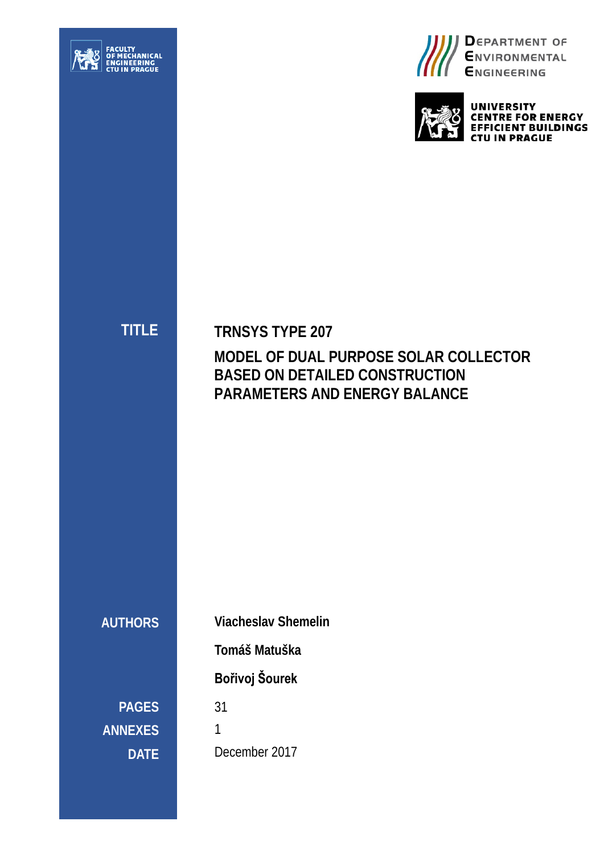





**UNIVERSITY E FOR ENERGY<br>ENT BUILDINGS J IN PRAGUE** 

**TITLE**

**TRNSYS TYPE 207 MODEL OF DUAL PURPOSE SOLAR COLLECTOR BASED ON DETAILED CONSTRUCTION PARAMETERS AND ENERGY BALANCE**

**AUTHORS**

**Viacheslav Shemelin** 

**Tomáš Matuška**

**Bořivoj Šourek**

31

**DATE**

**PAGES**

**ANNEXES**

1 December 2017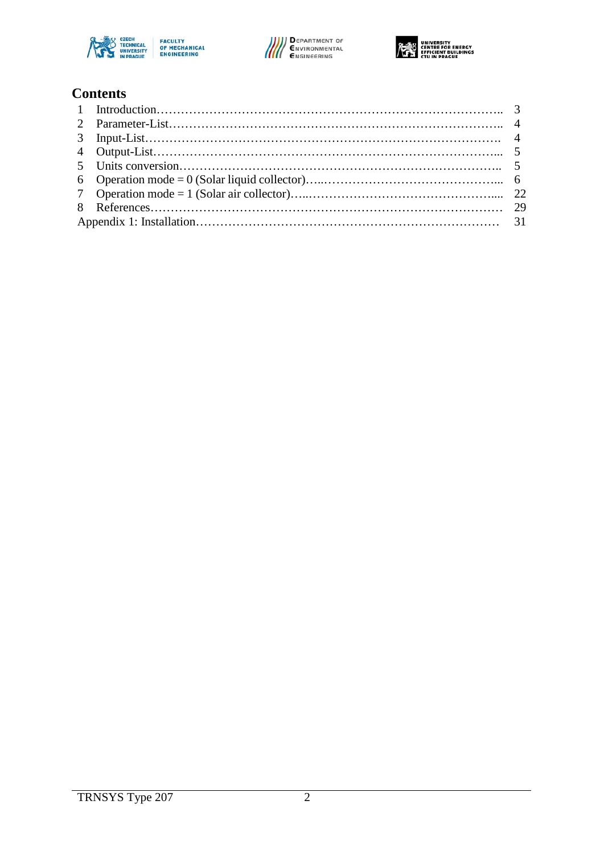





#### **Contents**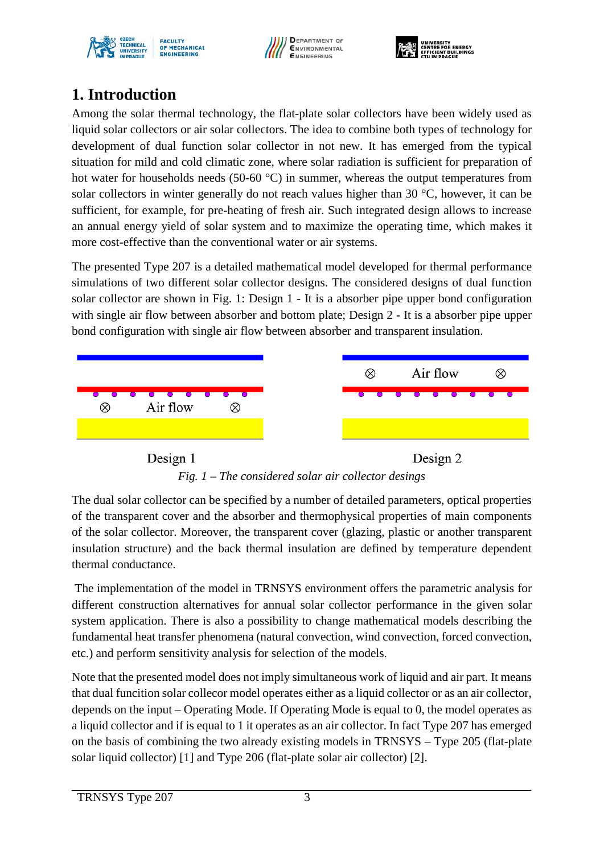





# **1. Introduction**

Among the solar thermal technology, the flat-plate solar collectors have been widely used as liquid solar collectors or air solar collectors. The idea to combine both types of technology for development of dual function solar collector in not new. It has emerged from the typical situation for mild and cold climatic zone, where solar radiation is sufficient for preparation of hot water for households needs (50-60 °C) in summer, whereas the output temperatures from solar collectors in winter generally do not reach values higher than 30 °C, however, it can be sufficient, for example, for pre-heating of fresh air. Such integrated design allows to increase an annual energy yield of solar system and to maximize the operating time, which makes it more cost-effective than the conventional water or air systems.

The presented Type 207 is a detailed mathematical model developed for thermal performance simulations of two different solar collector designs. The considered designs of dual function solar collector are shown in [Fig. 1:](#page-2-0) Design 1 - It is a absorber pipe upper bond configuration with single air flow between absorber and bottom plate; Design 2 - It is a absorber pipe upper bond configuration with single air flow between absorber and transparent insulation.



*Fig. 1 – The considered solar air collector desings*

<span id="page-2-0"></span>The dual solar collector can be specified by a number of detailed parameters, optical properties of the transparent cover and the absorber and thermophysical properties of main components of the solar collector. Moreover, the transparent cover (glazing, plastic or another transparent insulation structure) and the back thermal insulation are defined by temperature dependent thermal conductance.

The implementation of the model in TRNSYS environment offers the parametric analysis for different construction alternatives for annual solar collector performance in the given solar system application. There is also a possibility to change mathematical models describing the fundamental heat transfer phenomena (natural convection, wind convection, forced convection, etc.) and perform sensitivity analysis for selection of the models.

Note that the presented model does not imply simultaneous work of liquid and air part. It means that dual funcition solar collecor model operates either as a liquid collector or as an air collector, depends on the input – Operating Mode. If Operating Mode is equal to 0, the model operates as a liquid collector and if is equal to 1 it operates as an air collector. In fact Type 207 has emerged on the basis of combining the two already existing models in TRNSYS – Type 205 (flat-plate solar liquid collector) [1] and Type 206 (flat-plate solar air collector) [2].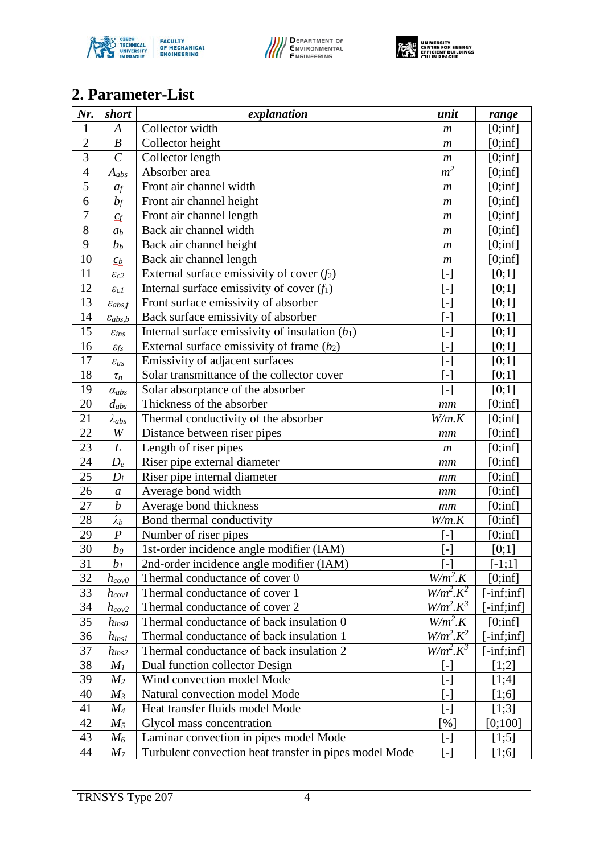





# **2. Parameter-List**

| Nr.            | short                  | explanation                                            | unit                                                                                                                                                                                                                              | range         |
|----------------|------------------------|--------------------------------------------------------|-----------------------------------------------------------------------------------------------------------------------------------------------------------------------------------------------------------------------------------|---------------|
| $\mathbf{1}$   | $\boldsymbol{A}$       | Collector width                                        | $\boldsymbol{m}$                                                                                                                                                                                                                  | [0;inf]       |
| $\overline{c}$ | $\boldsymbol{B}$       | Collector height                                       | $\boldsymbol{m}$                                                                                                                                                                                                                  | [0;inf]       |
| 3              | $\overline{C}$         | Collector length                                       | $\boldsymbol{m}$                                                                                                                                                                                                                  | [0;inf]       |
| $\overline{4}$ | $A_{abs}$              | Absorber area                                          | m <sup>2</sup>                                                                                                                                                                                                                    | [0;inf]       |
| $\overline{5}$ | a <sub>f</sub>         | Front air channel width                                | $\boldsymbol{m}$                                                                                                                                                                                                                  | [0;inf]       |
| 6              | $b_f$                  | Front air channel height                               | $\boldsymbol{m}$                                                                                                                                                                                                                  | [0;inf]       |
| $\overline{7}$ | $C_f$                  | Front air channel length                               | $\boldsymbol{m}$                                                                                                                                                                                                                  | [0;inf]       |
| $\overline{8}$ | a <sub>b</sub>         | Back air channel width                                 | $\boldsymbol{m}$                                                                                                                                                                                                                  | [0;inf]       |
| 9              | b <sub>b</sub>         | Back air channel height                                | $\boldsymbol{m}$                                                                                                                                                                                                                  | [0;inf]       |
| 10             | $\mathcal{C}_{b}$      | Back air channel length                                | $\boldsymbol{m}$                                                                                                                                                                                                                  | [0;inf]       |
| 11             | $\varepsilon_{c2}$     | External surface emissivity of cover $(f_2)$           | $\left[ -\right] % \includegraphics[width=0.9\columnwidth]{figures/fig_10.pdf} \caption{The number of parameters of the estimators in the left and right. The number of parameters are shown in the right.} \label{fig:fig:time}$ | $[0;1]$       |
| 12             | $\varepsilon_{c1}$     | Internal surface emissivity of cover $(f_1)$           | $\left[ -\right]$                                                                                                                                                                                                                 | [0;1]         |
| 13             | $\varepsilon_{abs,f}$  | Front surface emissivity of absorber                   |                                                                                                                                                                                                                                   | [0;1]         |
| 14             | $\varepsilon_{abs,b}$  | Back surface emissivity of absorber                    | $\left[ -\right]$                                                                                                                                                                                                                 | $[0;1]$       |
| 15             | $\varepsilon_{ins}$    | Internal surface emissivity of insulation $(b_1)$      | $\lceil - \rceil$                                                                                                                                                                                                                 | [0;1]         |
| 16             | $\varepsilon_{\!f\!s}$ | External surface emissivity of frame $(b_2)$           | $\lceil - \rceil$                                                                                                                                                                                                                 | [0;1]         |
| 17             | $\varepsilon_{as}$     | Emissivity of adjacent surfaces                        | $\lceil - \rceil$                                                                                                                                                                                                                 | $[0;1]$       |
| 18             | $\tau_n$               | Solar transmittance of the collector cover             |                                                                                                                                                                                                                                   | [0;1]         |
| 19             | $\alpha_{abs}$         | Solar absorptance of the absorber                      | $\left[ -\right] % \includegraphics[width=0.9\columnwidth]{figures/fig_2b} \caption{The number of parameters of the top of the top of the top of the right. The number of points are labeled in the right.} \label{fig:2b}$       | $[0;1]$       |
| 20             | $d_{abs}$              | Thickness of the absorber                              | mm                                                                                                                                                                                                                                | [0;inf]       |
| 21             | $\lambda_{abs}$        | Thermal conductivity of the absorber                   | W/m.K                                                                                                                                                                                                                             | [0;inf]       |
| 22             | W                      | Distance between riser pipes                           | mm                                                                                                                                                                                                                                | [0;inf]       |
| 23             | L                      | Length of riser pipes                                  | $\boldsymbol{m}$                                                                                                                                                                                                                  | [0;inf]       |
| 24             | $D_e$                  | Riser pipe external diameter                           | mm                                                                                                                                                                                                                                | [0;inf]       |
| 25             | $D_i$                  | Riser pipe internal diameter                           | mm                                                                                                                                                                                                                                | [0;inf]       |
| 26             | $\boldsymbol{a}$       | Average bond width                                     | mm                                                                                                                                                                                                                                | [0;inf]       |
| 27             | $\boldsymbol{b}$       | Average bond thickness                                 | mm                                                                                                                                                                                                                                | [0;inf]       |
| 28             | $\lambda_b$            | Bond thermal conductivity                              | W/m.K                                                                                                                                                                                                                             | [0;inf]       |
| 29             | $\boldsymbol{P}$       | Number of riser pipes                                  | $\lceil - \rceil$                                                                                                                                                                                                                 | [0;inf]       |
| 30             | $b_0$                  | 1st-order incidence angle modifier (IAM)               | $\lceil - \rceil$                                                                                                                                                                                                                 | $[0;1]$       |
| 31             | b <sub>1</sub>         | 2nd-order incidence angle modifier (IAM)               | $\left[ -\right]$                                                                                                                                                                                                                 | $[-1;1]$      |
| 32             | $h_{cov0}$             | Thermal conductance of cover 0                         | $W/m^2.K$                                                                                                                                                                                                                         | [0;inf]       |
| 33             | $h_{cov1}$             | Thermal conductance of cover 1                         | $W/m^2$ . $K^2$                                                                                                                                                                                                                   | $[-inf;inf]$  |
| 34             | $h_{cov2}$             | Thermal conductance of cover 2                         | $W/m^2$ . $K^3$                                                                                                                                                                                                                   | $[-inf; inf]$ |
| 35             | $h_{insO}$             | Thermal conductance of back insulation 0               | $W/m^2.K$                                                                                                                                                                                                                         | [0;inf]       |
| 36             | $h_{ins1}$             | Thermal conductance of back insulation 1               | $W/m^2$ . $K^2$                                                                                                                                                                                                                   | $[-inf; inf]$ |
| 37             | $h_{ins2}$             | Thermal conductance of back insulation 2               | $W/m^2$ . $K^3$                                                                                                                                                                                                                   | $[-inf; inf]$ |
| 38             | $M_I$                  | Dual function collector Design                         | $\lceil - \rceil$                                                                                                                                                                                                                 | $[1;2]$       |
| 39             | $M_2$                  | Wind convection model Mode                             | $\lceil - \rceil$                                                                                                                                                                                                                 | [1;4]         |
| 40             | $M_3$                  | Natural convection model Mode                          | $\lceil - \rceil$                                                                                                                                                                                                                 | [1;6]         |
| 41             | $M_{4}$                | Heat transfer fluids model Mode                        | [-]                                                                                                                                                                                                                               | [1;3]         |
| 42             | $M_5$                  | Glycol mass concentration                              | [%]                                                                                                                                                                                                                               | [0;100]       |
| 43             | $M_6$                  | Laminar convection in pipes model Mode                 | $\left[ -\right]$                                                                                                                                                                                                                 | [1;5]         |
| 44             | M <sub>7</sub>         | Turbulent convection heat transfer in pipes model Mode | $[\cdot]$                                                                                                                                                                                                                         | [1;6]         |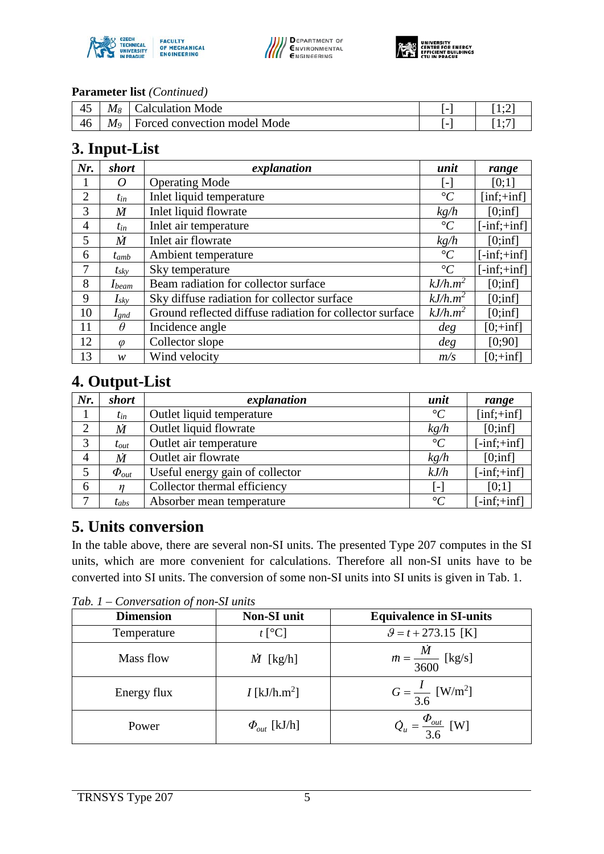





#### **Parameter list** *(Continued)*

| 45 | Mя | Calculation Mode             |     | . . <u>.</u> |
|----|----|------------------------------|-----|--------------|
| 46 | M9 | Forced convection model Mode | . . | . .          |

# **3. Input-List**

| Nr.            | short      | explanation                                              | unit              | range                                   |
|----------------|------------|----------------------------------------------------------|-------------------|-----------------------------------------|
|                | 0          | <b>Operating Mode</b>                                    | $\vert$ – $\vert$ | [0;1]                                   |
| $\overline{2}$ | $t_{in}$   | Inlet liquid temperature                                 | $\rm ^{\circ}C$   | $\left[ \text{inf};+\text{inf} \right]$ |
| 3              | Ѝ          | Inlet liquid flowrate                                    | kg/h              | [0;inf]                                 |
| $\overline{4}$ | $t_{in}$   | Inlet air temperature                                    | $\rm ^{\circ}C$   | $[-inf;+inf]$                           |
| 5              | M          | Inlet air flowrate                                       | kg/h              | [0;inf]                                 |
| 6              | $t_{amb}$  | Ambient temperature                                      | $\rm ^{\circ}C$   | $[-inf;+inf]$                           |
| 7              | $t_{sky}$  | Sky temperature                                          | $\rm ^{\circ}C$   | $[-inf;+inf]$                           |
| 8              | $I_{beam}$ | Beam radiation for collector surface                     | $kJ/h.m^2$        | [0;inf]                                 |
| 9              | $I_{sky}$  | Sky diffuse radiation for collector surface              | $kJ/h.m^2$        | [0;inf]                                 |
| 10             | $I_{gnd}$  | Ground reflected diffuse radiation for collector surface | $kJ/h.m^2$        | [0;inf]                                 |
| 11             | $\theta$   | Incidence angle                                          | deg               | $[0; +inf]$                             |
| 12             | $\varphi$  | Collector slope                                          | deg               | [0;90]                                  |
| 13             | w          | Wind velocity                                            | m/s               | $[0;+inf]$                              |

# **4. Output-List**

| Nr.            | short                        | explanation                     | unit            | range                        |
|----------------|------------------------------|---------------------------------|-----------------|------------------------------|
|                | $t_{in}$                     | Outlet liquid temperature       | $\rm ^{\circ}C$ | $[inf;+inf]$                 |
| $\overline{2}$ | $\dot{M}$                    | Outlet liquid flowrate          | kg/h            | [0;inf]                      |
| 3              | $t_{out}$                    | Outlet air temperature          | $\rm ^{\circ}C$ | $[-inf;+inf]$                |
| $\overline{4}$ | $\dot{M}$                    | Outlet air flowrate             | kgh             | [0;inf]                      |
| 5              | $\boldsymbol{\varPhi}_{out}$ | Useful energy gain of collector | kJ/h            | $[-inf;+inf]$                |
| 6              | n                            | Collector thermal efficiency    | [ _]            | [0;1]                        |
| $\mathbf{r}$   | $t_{abs}$                    | Absorber mean temperature       | $\rm ^{\circ}C$ | $\text{-inf:}\div\text{inf}$ |

# **5. Units conversion**

In the table above, there are several non-SI units. The presented Type 207 computes in the SI units, which are more convenient for calculations. Therefore all non-SI units have to be converted into SI units. The conversion of some non-SI units into SI units is given in [Tab. 1.](#page-4-0)

<span id="page-4-0"></span>*Tab. 1 – Conversation of non-SI units*

| <b>Dimension</b> | <b>Non-SI</b> unit         | <b>Equivalence in SI-units</b>           |
|------------------|----------------------------|------------------------------------------|
| Temperature      | $t\,[\rm ^oC]$             | $\theta = t + 273.15$ [K]                |
| Mass flow        | $\dot{M}$ [kg/h]           | $m = \frac{M}{\frac{3600}{\pi}}$ [kg/s]  |
| Energy flux      | $I$ [kJ/h.m <sup>2</sup> ] | $G = \frac{I}{3.6}$ [W/m <sup>2</sup> ]  |
| Power            | $\Phi_{out}$ [kJ/h]        | $\dot{Q}_u = \frac{\Phi_{out}}{3.6}$ [W] |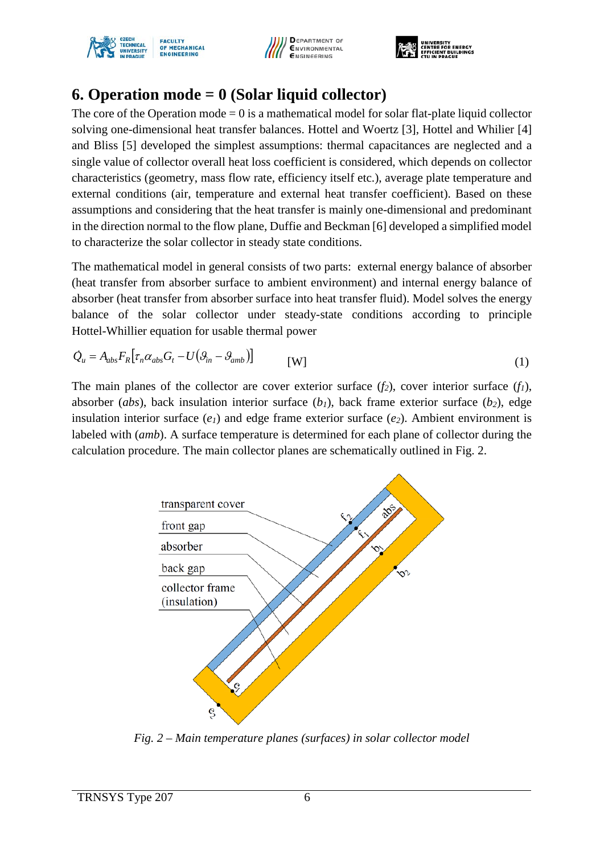





# **6. Operation mode = 0 (Solar liquid collector)**

The core of the Operation mode  $= 0$  is a mathematical model for solar flat-plate liquid collector solving one-dimensional heat transfer balances. Hottel and Woertz [3], Hottel and Whilier [4] and Bliss [5] developed the simplest assumptions: thermal capacitances are neglected and a single value of collector overall heat loss coefficient is considered, which depends on collector characteristics (geometry, mass flow rate, efficiency itself etc.), average plate temperature and external conditions (air, temperature and external heat transfer coefficient). Based on these assumptions and considering that the heat transfer is mainly one-dimensional and predominant in the direction normal to the flow plane, Duffie and Beckman [6] developed a simplified model to characterize the solar collector in steady state conditions.

The mathematical model in general consists of two parts: external energy balance of absorber (heat transfer from absorber surface to ambient environment) and internal energy balance of absorber (heat transfer from absorber surface into heat transfer fluid). Model solves the energy balance of the solar collector under steady-state conditions according to principle Hottel-Whillier equation for usable thermal power

$$
\dot{Q}_u = A_{abs} F_R \left[ \tau_n \alpha_{abs} G_t - U \left( \theta_{in} - \theta_{amb} \right) \right]
$$
\n<sup>(1)</sup>

The main planes of the collector are cover exterior surface  $(f_2)$ , cover interior surface  $(f_1)$ , absorber (*abs*), back insulation interior surface  $(b_1)$ , back frame exterior surface ( $b_2$ ), edge insulation interior surface  $(e_1)$  and edge frame exterior surface  $(e_2)$ . Ambient environment is labeled with (*amb*). A surface temperature is determined for each plane of collector during the calculation procedure. The main collector planes are schematically outlined in [Fig. 2.](#page-5-0)



<span id="page-5-0"></span>*Fig. 2 – Main temperature planes (surfaces) in solar collector model*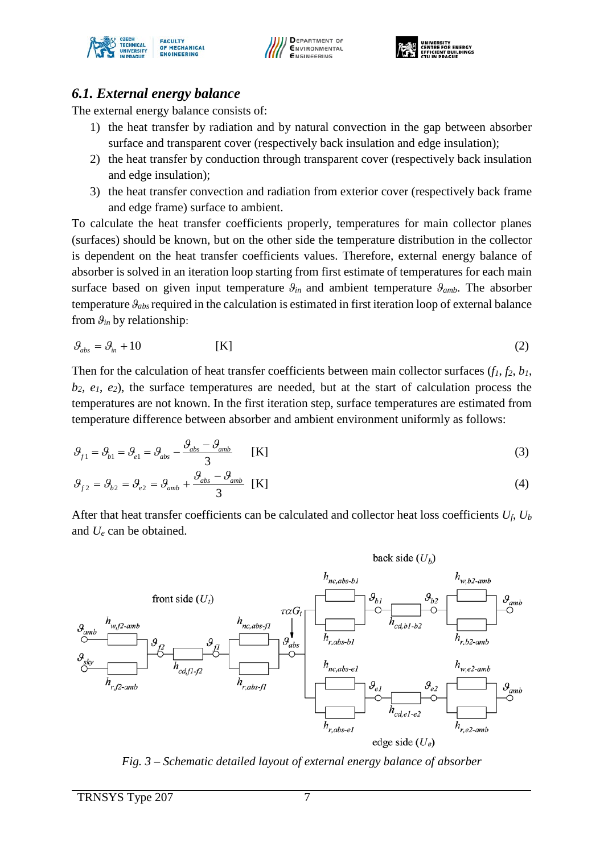





#### *6.1. External energy balance*

The external energy balance consists of:

- 1) the heat transfer by radiation and by natural convection in the gap between absorber surface and transparent cover (respectively back insulation and edge insulation);
- 2) the heat transfer by conduction through transparent cover (respectively back insulation and edge insulation);
- 3) the heat transfer convection and radiation from exterior cover (respectively back frame and edge frame) surface to ambient.

To calculate the heat transfer coefficients properly, temperatures for main collector planes (surfaces) should be known, but on the other side the temperature distribution in the collector is dependent on the heat transfer coefficients values. Therefore, external energy balance of absorber is solved in an iteration loop starting from first estimate of temperatures for each main surface based on given input temperature  $\theta_{in}$  and ambient temperature  $\theta_{amb}$ . The absorber temperature *ϑabs* required in the calculation is estimated in first iteration loop of external balance from  $\theta_{in}$  by relationship:

$$
\mathcal{G}_{\text{abs}} = \mathcal{G}_{\text{in}} + 10 \tag{2}
$$

Then for the calculation of heat transfer coefficients between main collector surfaces  $(f_1, f_2, b_1)$ , *b2, e1*, *e2*), the surface temperatures are needed, but at the start of calculation process the temperatures are not known. In the first iteration step, surface temperatures are estimated from temperature difference between absorber and ambient environment uniformly as follows:

$$
\mathcal{G}_{f1} = \mathcal{G}_{b1} = \mathcal{G}_{ab} - \frac{\mathcal{G}_{abs} - \mathcal{G}_{amb}}{3} \qquad [K]
$$
 (3)

$$
\mathcal{G}_{f2} = \mathcal{G}_{b2} = \mathcal{G}_{e2} = \mathcal{G}_{amb} + \frac{\mathcal{G}_{abs} - \mathcal{G}_{amb}}{3} \quad \text{[K]}
$$

After that heat transfer coefficients can be calculated and collector heat loss coefficients *Uf*, *Ub* and *Ue* can be obtained.



<span id="page-6-0"></span>*Fig. 3 – Schematic detailed layout of external energy balance of absorber*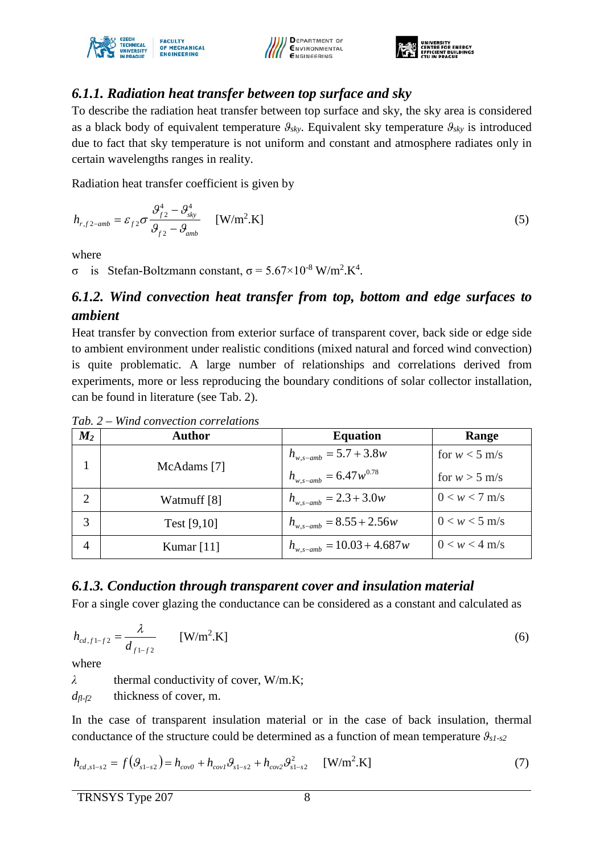





#### *6.1.1. Radiation heat transfer between top surface and sky*

To describe the radiation heat transfer between top surface and sky, the sky area is considered as a black body of equivalent temperature  $\theta_{sky}$ . Equivalent sky temperature  $\theta_{sky}$  is introduced due to fact that sky temperature is not uniform and constant and atmosphere radiates only in certain wavelengths ranges in reality.

Radiation heat transfer coefficient is given by

$$
h_{r,f2-amb} = \varepsilon_{f2} \sigma \frac{\mathcal{G}_{f2}^4 - \mathcal{G}_{sky}^4}{\mathcal{G}_{f2} - \mathcal{G}_{amb}} \quad \text{[W/m}^2 \text{.K]}
$$
 (5)

where

σ is Stefan-Boltzmann constant,  $\sigma = 5.67 \times 10^{-8}$  W/m<sup>2</sup>.K<sup>4</sup>.

## *6.1.2. Wind convection heat transfer from top, bottom and edge surfaces to ambient*

Heat transfer by convection from exterior surface of transparent cover, back side or edge side to ambient environment under realistic conditions (mixed natural and forced wind convection) is quite problematic. A large number of relationships and correlations derived from experiments, more or less reproducing the boundary conditions of solar collector installation, can be found in literature (see [Tab. 2\)](#page-7-0).

| $M_2$          | <b>Author</b> | <b>Equation</b>                  | Range           |
|----------------|---------------|----------------------------------|-----------------|
|                |               | $h_{w,s-amb} = 5.7 + 3.8w$       | for $w < 5$ m/s |
|                | McAdams [7]   | $h_{_{W,S-amb}} = 6.47 w^{0.78}$ | for $w > 5$ m/s |
| $\overline{2}$ | Watmuff [8]   | $h_{w,s-amb} = 2.3 + 3.0w$       | $0 < w < 7$ m/s |
| 3              | Test $[9,10]$ | $h_{w,s-amb} = 8.55 + 2.56w$     | $0 < w < 5$ m/s |
| 4              | Kumar $[11]$  | $h_{w,s-amb} = 10.03 + 4.687w$   | $0 < w < 4$ m/s |

<span id="page-7-0"></span>*Tab. 2 – Wind convection correlations*

#### *6.1.3. Conduction through transparent cover and insulation material*

For a single cover glazing the conductance can be considered as a constant and calculated as

$$
h_{cd,f1-f2} = \frac{\lambda}{d_{f1-f2}} \qquad \text{[W/m}^2.\text{K]}
$$
 (6)

where

*λ* thermal conductivity of cover, W/m.K; *dfl-f2* thickness of cover, m.

In the case of transparent insulation material or in the case of back insulation, thermal conductance of the structure could be determined as a function of mean temperature *ϑs1-s2*

$$
h_{cd,s1-s2} = f(\mathcal{G}_{s1-s2}) = h_{cov0} + h_{cov1}\mathcal{G}_{s1-s2} + h_{cov2}\mathcal{G}_{s1-s2}^2 \qquad \text{[W/m}^2.\text{K]}
$$
 (7)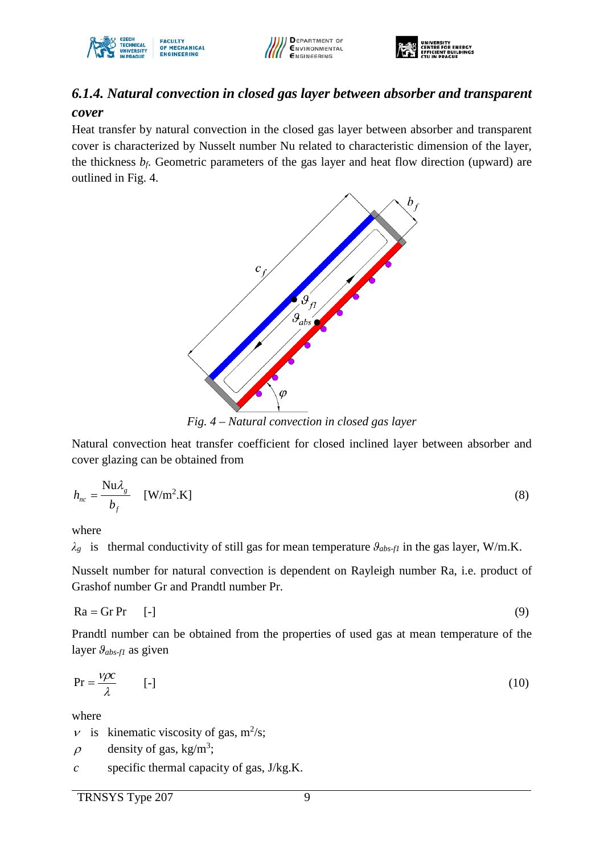





## *6.1.4. Natural convection in closed gas layer between absorber and transparent cover*

Heat transfer by natural convection in the closed gas layer between absorber and transparent cover is characterized by Nusselt number Nu related to characteristic dimension of the layer, the thickness  $b_f$ . Geometric parameters of the gas layer and heat flow direction (upward) are outlined in [Fig. 4.](#page-8-0)



*Fig. 4 – Natural convection in closed gas layer*

<span id="page-8-0"></span>Natural convection heat transfer coefficient for closed inclined layer between absorber and cover glazing can be obtained from

$$
h_{nc} = \frac{\text{Nu}\lambda_g}{b_f} \quad \text{[W/m}^2.\text{K]}
$$
 (8)

where

*λg* is thermal conductivity of still gas for mean temperature *ϑabs-f1* in the gas layer, W/m.K.

Nusselt number for natural convection is dependent on Rayleigh number Ra, i.e. product of Grashof number Gr and Prandtl number Pr.

$$
Ra = Gr Pr \t[-1]
$$
 (9)

Prandtl number can be obtained from the properties of used gas at mean temperature of the layer  $\theta_{abs-fl}$  as given

$$
Pr = \frac{V\rho c}{\lambda} \tag{10}
$$

where

- $\nu$  is kinematic viscosity of gas, m<sup>2</sup>/s;
- density of gas,  $kg/m^3$ ; ρ
- specific thermal capacity of gas, J/kg.K. *c*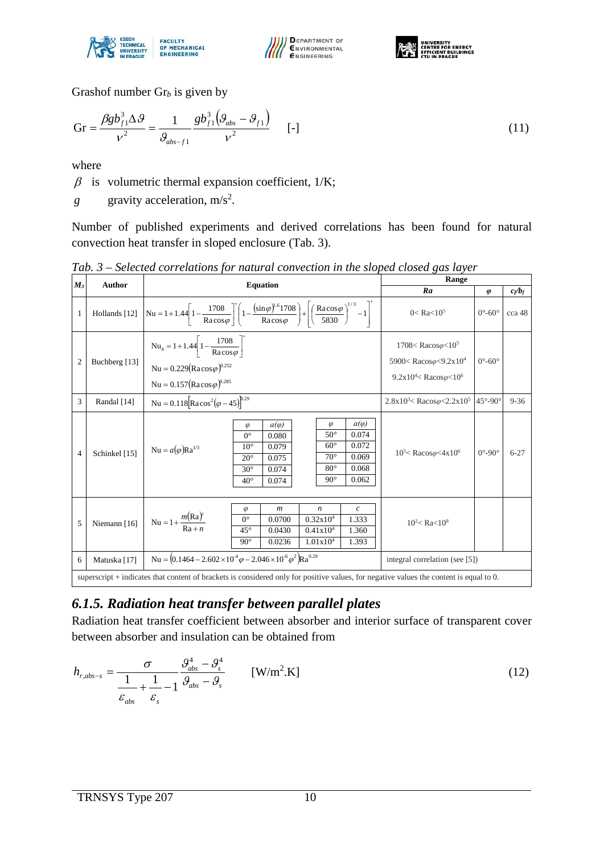





Grashof number Gr*<sup>b</sup>* is given by

$$
Gr = \frac{\beta g b_{f1}^3 \Delta \theta}{v^2} = \frac{1}{\theta_{abs-f1}} \frac{g b_{f1}^3 (\theta_{abs} - \theta_{f1})}{v^2} \qquad [-]
$$
 (11)

where

 $\beta$  is volumetric thermal expansion coefficient, 1/K;

gravity acceleration,  $m/s<sup>2</sup>$ . *g*

Number of published experiments and derived correlations has been found for natural convection heat transfer in sloped enclosure [\(Tab. 3\)](#page-9-0).

| $M_3$          | Author<br><b>Equation</b>                                                                                                               |                                                                                                                                                                                                                                                                                                                                                  | Range                                                                                                                                                            |                            |           |  |
|----------------|-----------------------------------------------------------------------------------------------------------------------------------------|--------------------------------------------------------------------------------------------------------------------------------------------------------------------------------------------------------------------------------------------------------------------------------------------------------------------------------------------------|------------------------------------------------------------------------------------------------------------------------------------------------------------------|----------------------------|-----------|--|
|                |                                                                                                                                         |                                                                                                                                                                                                                                                                                                                                                  | Ra                                                                                                                                                               | $\boldsymbol{\varphi}$     | $c_f/b_f$ |  |
| $\mathbf{1}$   | Hollands [12]                                                                                                                           | $\left  \text{Nu} = 1 + 1.44 \left[ 1 - \frac{1708}{\text{Racos}\,\varphi} \right]^+ \left( 1 - \frac{\left( \sin \varphi \right)^{1.6} 1708}{\text{Racos}\,\varphi} \right) + \left  \left( \frac{\text{Racos}\,\varphi}{5830} \right)^{1/3} - 1 \right  \right $                                                                               | $0 <$ Ra $<$ 10 <sup>5</sup>                                                                                                                                     | $0^\circ - 60^\circ$       | cca 48    |  |
| $\overline{2}$ | Buchberg [13]                                                                                                                           | $Nu_b = 1 + 1.44 \left[ 1 - \frac{1708}{Ra \cos \varphi} \right]$<br>Nu = $0.229(Ra\cos\varphi)^{0.252}$<br>Nu = $0.157$ (Racos $\varphi$ ) <sup>0.285</sup>                                                                                                                                                                                     | $1708 <$ Racos $\varphi < 10^5$<br>5900 <racos<math>\varphi&lt;9.2x10<sup>4</sup><br/><math>9.2x10^4 &lt;</math>Racos<math>\varphi &lt; 10^6</math></racos<math> | $0^\circ - 60^\circ$       |           |  |
| 3              | Randal [14]                                                                                                                             | Nu = $0.118$ [Racos <sup>2</sup> ( $\varphi$ – 45) <sup>[0.29</sup> ]                                                                                                                                                                                                                                                                            | $2.8x10^{3}$ Racos $\varphi$ < 2.2x10 <sup>5</sup> 45°-90°                                                                                                       |                            | $9 - 36$  |  |
| $\overline{4}$ | Schinkel [15]                                                                                                                           | $a(\varphi)$<br>$\varphi$<br>$a(\varphi)$<br>$\varphi$<br>$50^\circ$<br>0.074<br>$0^{\circ}$<br>0.080<br>$60^\circ$<br>0.072<br>$10^{\circ}$<br>0.079<br>Nu = $a(\varphi)$ Ra <sup>1/3</sup><br>$70^{\circ}$<br>0.069<br>$20^{\circ}$<br>0.075<br>$80^{\circ}$<br>0.068<br>0.074<br>$30^\circ$<br>$90^{\circ}$<br>0.062<br>$40^{\circ}$<br>0.074 | $10^5$ < Racos $\varphi$ < 4x10 <sup>6</sup>                                                                                                                     | $0^{\circ}$ -90 $^{\circ}$ | $6 - 27$  |  |
| 5              | Niemann [16]                                                                                                                            | $\boldsymbol{c}$<br>$\boldsymbol{m}$<br>$\boldsymbol{n}$<br>$\varphi$<br>$Nu = 1 + \frac{m(Ra)^c}{Ra + n}$<br>$0^{\circ}$<br>0.32x10 <sup>4</sup><br>0.0700<br>1.333<br>$45^\circ$<br>0.0430<br>0.41x10 <sup>4</sup><br>1.360<br>1.01x10 <sup>4</sup><br>$90^\circ$<br>0.0236<br>1.393                                                           | $10^2$ < Ra < $10^8$                                                                                                                                             |                            |           |  |
| 6              | Matuska [17]                                                                                                                            | Nu = $(0.1464 - 2.602 \times 10^{-4} \varphi - 2.046 \times 10^{-6} \varphi^2)$ Ra <sup>0.29</sup>                                                                                                                                                                                                                                               | integral correlation (see [5])                                                                                                                                   |                            |           |  |
|                | superscript + indicates that content of brackets is considered only for positive values, for negative values the content is equal to 0. |                                                                                                                                                                                                                                                                                                                                                  |                                                                                                                                                                  |                            |           |  |

<span id="page-9-0"></span>*Tab. 3 – Selected correlations for natural convection in the sloped closed gas layer*

# *6.1.5. Radiation heat transfer between parallel plates*

Radiation heat transfer coefficient between absorber and interior surface of transparent cover between absorber and insulation can be obtained from

$$
h_{r,abs-s} = \frac{\sigma}{\frac{1}{\varepsilon_{abs}} + \frac{1}{\varepsilon_s} - 1} \frac{\mathcal{G}_{abs}^4 - \mathcal{G}_s^4}{\mathcal{G}_{abs} - \mathcal{G}_s}
$$
 [W/m<sup>2</sup>.K] (12)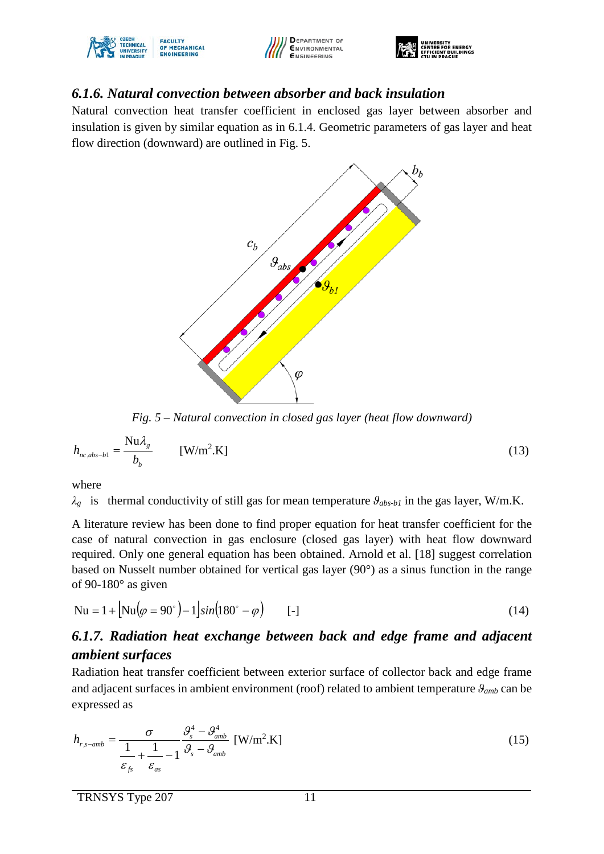





#### *6.1.6. Natural convection between absorber and back insulation*

Natural convection heat transfer coefficient in enclosed gas layer between absorber and insulation is given by similar equation as in 6.1.4. Geometric parameters of gas layer and heat flow direction (downward) are outlined in [Fig. 5.](#page-10-0)



*Fig. 5 – Natural convection in closed gas layer (heat flow downward)*

<span id="page-10-0"></span>
$$
h_{nc,abs-b1} = \frac{\text{Nu}\lambda_g}{b_b} \qquad \text{[W/m}^2.\text{K]}
$$
 (13)

where

*λg* is thermal conductivity of still gas for mean temperature *ϑabs-b1* in the gas layer, W/m.K.

A literature review has been done to find proper equation for heat transfer coefficient for the case of natural convection in gas enclosure (closed gas layer) with heat flow downward required. Only one general equation has been obtained. Arnold et al. [18] suggest correlation based on Nusselt number obtained for vertical gas layer (90°) as a sinus function in the range of 90-180° as given

$$
Nu = 1 + [Nu(\varphi = 90^{\circ}) - 1]sin(180^{\circ} - \varphi) \qquad [-]
$$
 (14)

## *6.1.7. Radiation heat exchange between back and edge frame and adjacent ambient surfaces*

Radiation heat transfer coefficient between exterior surface of collector back and edge frame and adjacent surfaces in ambient environment (roof) related to ambient temperature *ϑamb* can be expressed as

$$
h_{r,s-amb} = \frac{\sigma}{\frac{1}{\varepsilon_{fs}} + \frac{1}{\varepsilon_{as}} - 1} \frac{\mathcal{G}_s^4 - \mathcal{G}_{amb}^4}{\mathcal{G}_s - \mathcal{G}_{amb}} \text{ [W/m}^2 \text{.K]}
$$
(15)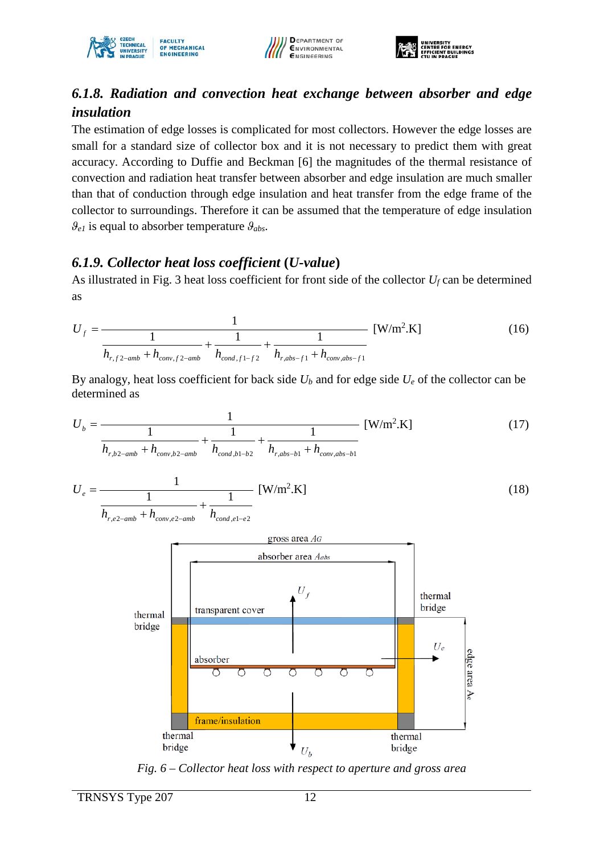





### *6.1.8. Radiation and convection heat exchange between absorber and edge insulation*

The estimation of edge losses is complicated for most collectors. However the edge losses are small for a standard size of collector box and it is not necessary to predict them with great accuracy. According to Duffie and Beckman [6] the magnitudes of the thermal resistance of convection and radiation heat transfer between absorber and edge insulation are much smaller than that of conduction through edge insulation and heat transfer from the edge frame of the collector to surroundings. Therefore it can be assumed that the temperature of edge insulation  $\mathcal{G}_{e1}$  is equal to absorber temperature  $\mathcal{G}_{abs}$ .

#### *6.1.9. Collector heat loss coefficient* **(***U-value***)**

As illustrated in [Fig. 3](#page-6-0) heat loss coefficient for front side of the collector *Uf* can be determined as

$$
U_f = \frac{1}{\frac{1}{h_{r,f2-amb} + h_{conv,f2-amb}} + \frac{1}{h_{cond,f1-f2}} + \frac{1}{h_{r,abs-f1} + h_{conv,abs-f1}}} [W/m^2.K]
$$
(16)

By analogy, heat loss coefficient for back side *Ub* and for edge side *Ue* of the collector can be determined as

1 = [W/m2 *U* .K] (17) *b* 1 1 1 + + *h h h h h* <sup>−</sup> <sup>−</sup> <sup>−</sup> <sup>−</sup> + <sup>−</sup> + *r b amb conv b amb cond b b r abs b conv abs b* , 2 , 2 , 1 2 , 1 , 1 1 = [W/m2 *U* .K] (18) *e* 1 1 + *h h h* + *r e amb conv e amb cond e e* , 2 , 2 , 1 2 − − − 

<span id="page-11-0"></span>*Fig. 6 – Collector heat loss with respect to aperture and gross area*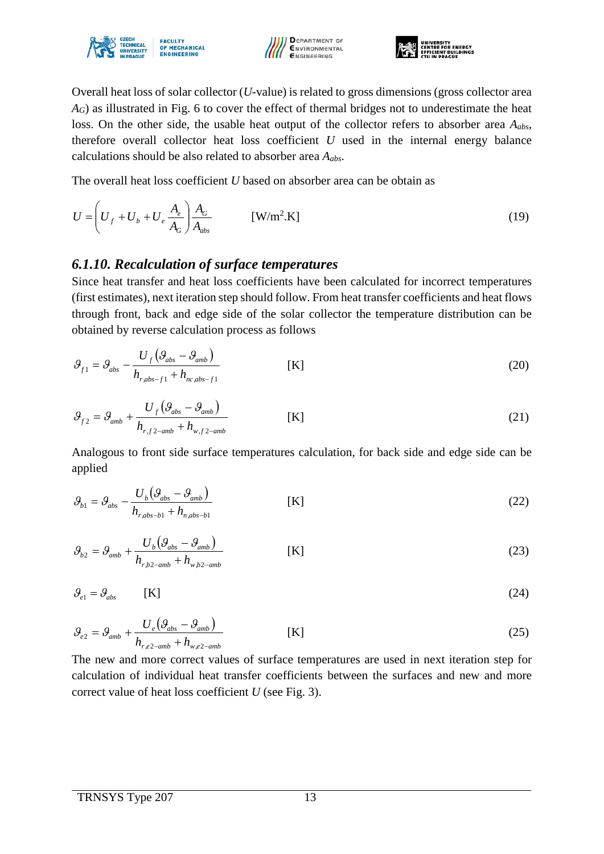





Overall heat loss of solar collector (*U*-value) is related to gross dimensions (gross collector area *A<sub>G</sub>*) as illustrated in [Fig. 6](#page-11-0) to cover the effect of thermal bridges not to underestimate the heat loss. On the other side, the usable heat output of the collector refers to absorber area *Aabs*, therefore overall collector heat loss coefficient *U* used in the internal energy balance calculations should be also related to absorber area *Aabs*.

The overall heat loss coefficient *U* based on absorber area can be obtain as

$$
U = \left(U_f + U_b + U_e \frac{A_e}{A_G}\right) \frac{A_G}{A_{abs}} \qquad \text{[W/m}^2 \text{.K]}
$$
 (19)

#### *6.1.10. Recalculation of surface temperatures*

Since heat transfer and heat loss coefficients have been calculated for incorrect temperatures (first estimates), next iteration step should follow. From heat transfer coefficients and heat flows through front, back and edge side of the solar collector the temperature distribution can be obtained by reverse calculation process as follows

$$
\mathcal{G}_{f1} = \mathcal{G}_{abs} - \frac{U_f \left( \mathcal{G}_{abs} - \mathcal{G}_{amb} \right)}{h_{r, abs-f1} + h_{nc, abs-f1}}
$$
 [K] (20)

$$
\mathcal{G}_{f2} = \mathcal{G}_{amb} + \frac{U_f \left( \mathcal{G}_{abs} - \mathcal{G}_{amb} \right)}{h_{r,f2-amb} + h_{w,f2-amb}}
$$
 [K] (21)

Analogous to front side surface temperatures calculation, for back side and edge side can be applied

$$
\mathcal{G}_{b1} = \mathcal{G}_{abs} - \frac{U_b \left( \mathcal{G}_{abs} - \mathcal{G}_{amb} \right)}{h_{r, abs-b1} + h_{n, abs-b1}}
$$
 [K] (22)

$$
\mathcal{G}_{b2} = \mathcal{G}_{amb} + \frac{U_b \left(\mathcal{G}_{abs} - \mathcal{G}_{amb}\right)}{h_{r,b2-amb} + h_{w,b2-amb}}
$$
 [K] (23)

$$
\mathcal{G}_{e1} = \mathcal{G}_{abs} \tag{24}
$$

$$
\mathcal{G}_{e2} = \mathcal{G}_{amb} + \frac{U_e \left(\mathcal{G}_{abs} - \mathcal{G}_{amb}\right)}{h_{r,e2-amb} + h_{w,e2-amb}}
$$
 [K] (25)

The new and more correct values of surface temperatures are used in next iteration step for calculation of individual heat transfer coefficients between the surfaces and new and more correct value of heat loss coefficient *U* (see [Fig. 3\)](#page-6-0).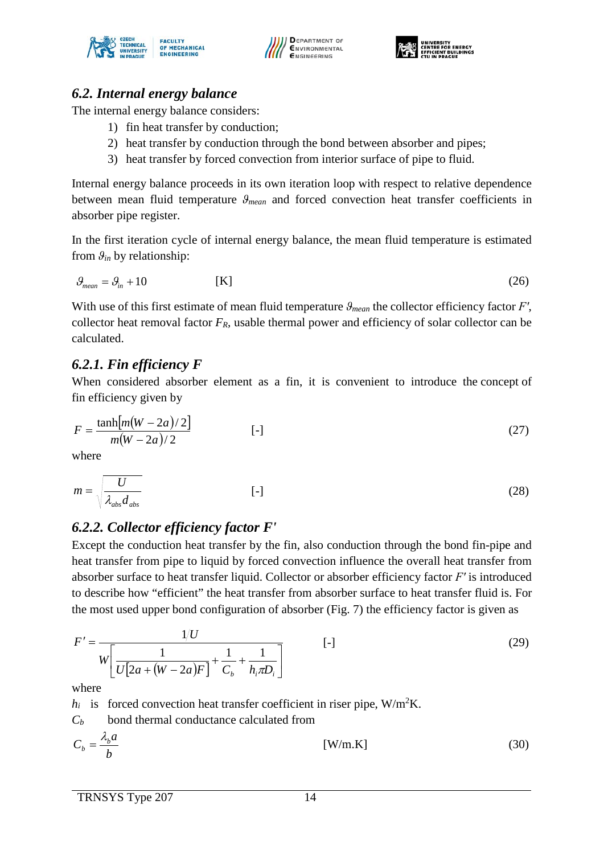





#### *6.2. Internal energy balance*

The internal energy balance considers:

- 1) fin heat transfer by conduction;
- 2) heat transfer by conduction through the bond between absorber and pipes;
- 3) heat transfer by forced convection from interior surface of pipe to fluid.

Internal energy balance proceeds in its own iteration loop with respect to relative dependence between mean fluid temperature *ϑmean* and forced convection heat transfer coefficients in absorber pipe register.

In the first iteration cycle of internal energy balance, the mean fluid temperature is estimated from  $\theta_{in}$  by relationship:

$$
\mathcal{G}_{mean} = \mathcal{G}_{in} + 10 \tag{26}
$$

With use of this first estimate of mean fluid temperature *ϑmean* the collector efficiency factor *F′*, collector heat removal factor *FR*, usable thermal power and efficiency of solar collector can be calculated.

#### *6.2.1. Fin efficiency F*

When considered absorber element as a fin, it is convenient to introduce the concept of fin efficiency given by

$$
F = \frac{\tanh[m(W - 2a)/2]}{m(W - 2a)/2}
$$
 [ -] (27)

where

$$
m = \sqrt{\frac{U}{\lambda_{abs} d_{abs}}} \tag{28}
$$

### *6.2.2. Collector efficiency factor F'*

Except the conduction heat transfer by the fin, also conduction through the bond fin-pipe and heat transfer from pipe to liquid by forced convection influence the overall heat transfer from absorber surface to heat transfer liquid. Collector or absorber efficiency factor *F′* is introduced to describe how "efficient" the heat transfer from absorber surface to heat transfer fluid is. For the most used upper bond configuration of absorber [\(Fig. 7\)](#page-14-0) the efficiency factor is given as

$$
F' = \frac{1/U}{W \left[ \frac{1}{U[2a + (W - 2a)F]} + \frac{1}{C_b} + \frac{1}{h_i \pi D_i} \right]}
$$
 [ -] (29)

where

 $h_i$  is forced convection heat transfer coefficient in riser pipe,  $W/m^2K$ .

*Cb* bond thermal conductance calculated from

$$
C_b = \frac{\lambda_b a}{b} \tag{30}
$$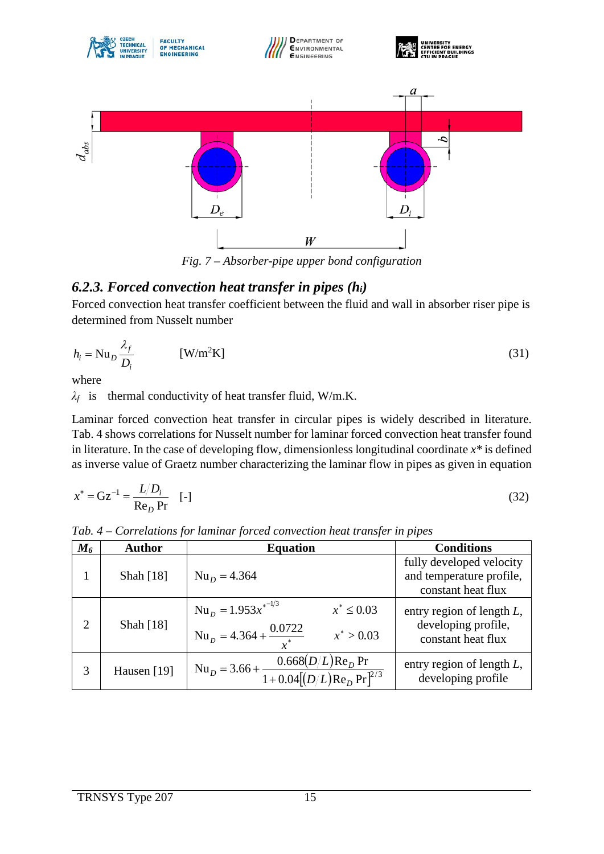

*Fig. 7 – Absorber-pipe upper bond configuration*

### <span id="page-14-0"></span>*6.2.3. Forced convection heat transfer in pipes (hi)*

Forced convection heat transfer coefficient between the fluid and wall in absorber riser pipe is determined from Nusselt number

$$
h_i = \text{Nu}_D \frac{\lambda_f}{D_i} \tag{31}
$$

where

*λf* is thermal conductivity of heat transfer fluid, W/m.K.

Laminar forced convection heat transfer in circular pipes is widely described in literature. [Tab. 4](#page-14-1) shows correlations for Nusselt number for laminar forced convection heat transfer found in literature. In the case of developing flow, dimensionless longitudinal coordinate *x\** is defined as inverse value of Graetz number characterizing the laminar flow in pipes as given in equation

$$
x^* = \mathbf{G} \mathbf{z}^{-1} = \frac{L/D_i}{\mathbf{Re}_D \mathbf{Pr}} \quad \text{[-]}
$$

| $M_{6}$        | <b>Author</b> | <b>Equation</b>                                                                                                | <b>Conditions</b>                                                          |
|----------------|---------------|----------------------------------------------------------------------------------------------------------------|----------------------------------------------------------------------------|
|                | Shah [18]     | $NuD = 4.364$                                                                                                  | fully developed velocity<br>and temperature profile,<br>constant heat flux |
| $\overline{2}$ | Shah [18]     | $Nu_{D} = 1.953x^{2}$<br>$x^* \le 0.03$<br>Nu <sub>D</sub> = 4.364 + $\frac{0.0722}{x^*}$<br>$x^* > 0.03$      | entry region of length $L$ ,<br>developing profile,<br>constant heat flux  |
| 3              | Hausen [19]   | Nu <sub>D</sub> = 3.66 + $\frac{0.668(D/L) \text{Re}_D \text{Pr}}{1 + 0.04[(D/L) \text{Re}_D \text{Pr}^{2/3}}$ | entry region of length $L$ ,<br>developing profile                         |

<span id="page-14-1"></span>*Tab. 4 – Correlations for laminar forced convection heat transfer in pipes*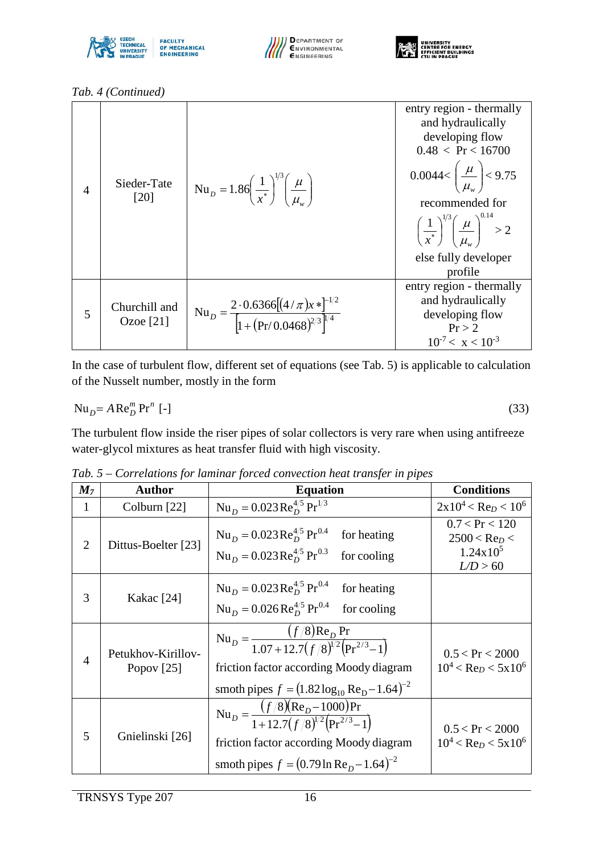





*[Tab. 4](#page-14-1) (Continued)*

| $\overline{4}$ | Sieder-Tate<br>[20]          | Nu <sub>D</sub> = 1.86 $\left(\frac{1}{x^*}\right)^{1/3} \left(\frac{\mu}{\mu}\right)$ | entry region - thermally<br>and hydraulically<br>developing flow<br>0.48 < Pr < 16700<br>0.0044< $\left(\frac{\mu}{\mu}\right)$ < 9.75<br>recommended for<br>$\left(\frac{1}{r^*}\right)^{1/3} \left(\frac{\mu}{\mu}\right)^{0.14} > 2$<br>else fully developer<br>profile |
|----------------|------------------------------|----------------------------------------------------------------------------------------|----------------------------------------------------------------------------------------------------------------------------------------------------------------------------------------------------------------------------------------------------------------------------|
| 5              | Churchill and<br>Ozoe $[21]$ | Nu <sub>D</sub> = $\frac{2 \cdot 0.6366[(4/\pi)x*]^{-1/2}}{1 + (Pr/0.0468)^{2/3}}$     | entry region - thermally<br>and hydraulically<br>developing flow<br>Pr > 2<br>$10^{-7} < x < 10^{-3}$                                                                                                                                                                      |

In the case of turbulent flow, different set of equations (see [Tab. 5\)](#page-15-0) is applicable to calculation of the Nusselt number, mostly in the form

$$
\mathrm{Nu}_{D} = A \mathrm{Re}_{D}^{m} \mathrm{Pr}^{n} \left[ - \right] \tag{33}
$$

The turbulent flow inside the riser pipes of solar collectors is very rare when using antifreeze water-glycol mixtures as heat transfer fluid with high viscosity.

| M <sub>7</sub> | <b>Author</b>                      | <b>Equation</b>                                                                                                                                                                                                  | <b>Conditions</b>                                                              |
|----------------|------------------------------------|------------------------------------------------------------------------------------------------------------------------------------------------------------------------------------------------------------------|--------------------------------------------------------------------------------|
| 1              | Colburn $[22]$                     | $Nu_D = 0.023 \text{Re}_D^{4/5} \text{Pr}^{1/3}$                                                                                                                                                                 | $2x10^4$ < Re <sub>D</sub> < 10 <sup>6</sup>                                   |
| $\overline{2}$ | Dittus-Boelter [23]                | $Nu_D = 0.023 \text{Re}_D^{4/5} \text{Pr}^{0.4}$<br>for heating<br>$Nu_{D} = 0.023 \text{Re}_{D}^{4/5} \text{Pr}^{0.3}$<br>for cooling                                                                           | 0.7 < Pr < 120<br>$2500 <$ Re <sub>D</sub> <<br>$1.24 \times 10^5$<br>L/D > 60 |
| 3              | Kakac [24]                         | $Nu_{D} = 0.023 \text{Re}_{D}^{4/5} \text{Pr}^{0.4}$<br>for heating<br>$Nu_{D} = 0.026 \text{Re}_{D}^{4/5} \text{Pr}^{0.4}$<br>for cooling                                                                       |                                                                                |
| $\overline{4}$ | Petukhov-Kirillov-<br>Popov $[25]$ | $\text{Nu}_D = \frac{(f/8)\text{Re}_D \text{Pr}}{1.07 + 12.7(f/8)^{1/2}(\text{Pr}^{2/3} - 1)}$<br>friction factor according Moody diagram<br>smoth pipes $f = (1.82 \log_{10} \text{Re}_{\text{D}} - 1.64)^{-2}$ | 0.5 < Pr < 2000<br>$10^4$ < Re <sub>D</sub> < 5x10 <sup>6</sup>                |
| 5              | Gnielinski [26]                    | $Nu_D = \frac{(f/8)(Re_D - 1000)Pr}{1 + 12.7(f/8)^{1/2}(Pr^{2/3} - 1)}$<br>friction factor according Moody diagram<br>smoth pipes $f = (0.79 \ln \text{Re}_p - 1.64)^{-2}$                                       | 0.5 < Pr < 2000<br>$10^4$ < Re <sub>D</sub> < 5x10 <sup>6</sup>                |

<span id="page-15-0"></span>*Tab. 5 – Correlations for laminar forced convection heat transfer in pipes*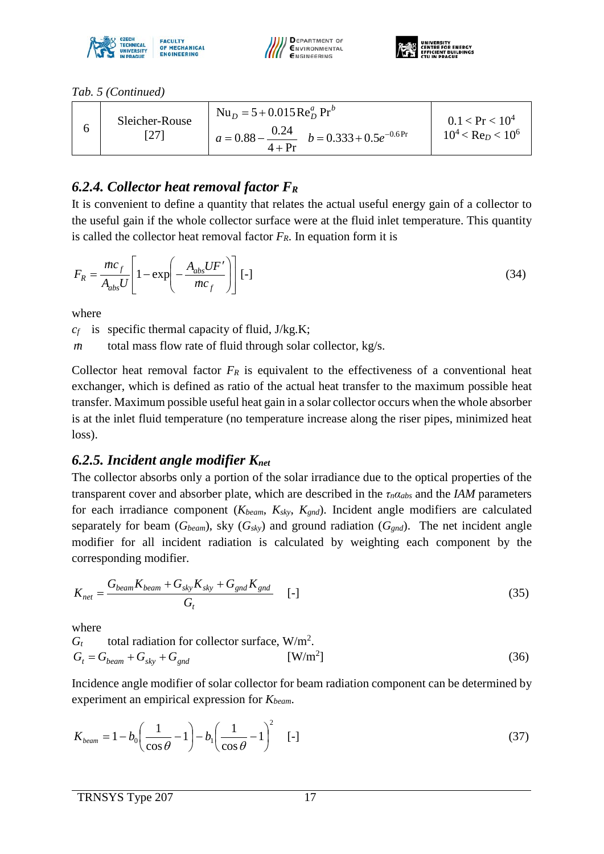





*[Tab. 5](#page-15-0) (Continued)*

| $4+Pr$ |  |  | Sleicher-Rouse | $Nu_{D} = 5 + 0.015 \text{Re}_{D}^{a} \text{Pr}^{b}$<br>$a = 0.88 - \frac{0.24}{b}$ $b = 0.333 + 0.5e^{-0.6}$ | $0.1 < Pr < 10^4$<br>$10^4$ < Re <sub>D</sub> < 10 <sup>6</sup> |
|--------|--|--|----------------|---------------------------------------------------------------------------------------------------------------|-----------------------------------------------------------------|
|--------|--|--|----------------|---------------------------------------------------------------------------------------------------------------|-----------------------------------------------------------------|

# *6.2.4. Collector heat removal factor FR*

It is convenient to define a quantity that relates the actual useful energy gain of a collector to the useful gain if the whole collector surface were at the fluid inlet temperature. This quantity is called the collector heat removal factor  $F_R$ . In equation form it is

$$
F_R = \frac{\dot{m}c_f}{A_{abs}U} \left[ 1 - \exp\left( -\frac{A_{abs}UF'}{\dot{m}c_f} \right) \right] [-1]
$$
 (34)

where

 $c_f$  is specific thermal capacity of fluid,  $J/kg.K$ ;

*m* total mass flow rate of fluid through solar collector, kg/s.

Collector heat removal factor  $F_R$  is equivalent to the effectiveness of a conventional heat exchanger, which is defined as ratio of the actual heat transfer to the maximum possible heat transfer. Maximum possible useful heat gain in a solar collector occurs when the whole absorber is at the inlet fluid temperature (no temperature increase along the riser pipes, minimized heat loss).

### *6.2.5. Incident angle modifier Knet*

The collector absorbs only a portion of the solar irradiance due to the optical properties of the transparent cover and absorber plate, which are described in the *τnαabs* and the *IAM* parameters for each irradiance component (*Kbeam*, *Ksky*, *Kgnd*). Incident angle modifiers are calculated separately for beam  $(G_{beam})$ , sky  $(G_{sky})$  and ground radiation  $(G_{gnd})$ . The net incident angle modifier for all incident radiation is calculated by weighting each component by the corresponding modifier.

$$
K_{net} = \frac{G_{beam}K_{beam} + G_{sky}K_{sky} + G_{gnd}K_{gnd}}{G_t} \qquad \left[ - \right] \tag{35}
$$

where

$$
G_t \t total radiation for collector surface, W/m2.\n
$$
G_t = G_{beam} + G_{sky} + G_{gnd}
$$
\n[W/m<sup>2</sup>] (36)
$$

Incidence angle modifier of solar collector for beam radiation component can be determined by experiment an empirical expression for *Kbeam*.

$$
K_{beam} = 1 - b_0 \left(\frac{1}{\cos \theta} - 1\right) - b_1 \left(\frac{1}{\cos \theta} - 1\right)^2 \quad \text{[-]}
$$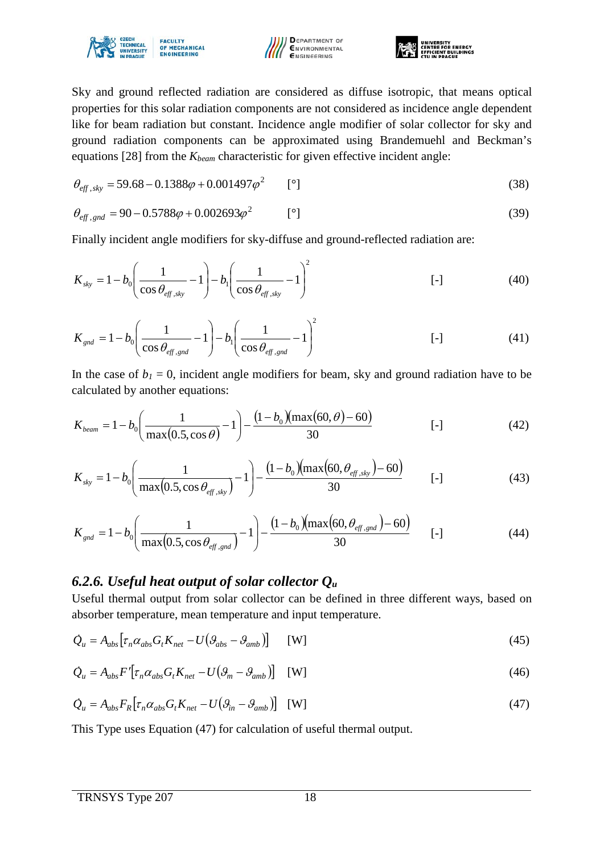





Sky and ground reflected radiation are considered as diffuse isotropic, that means optical properties for this solar radiation components are not considered as incidence angle dependent like for beam radiation but constant. Incidence angle modifier of solar collector for sky and ground radiation components can be approximated using Brandemuehl and Beckman's equations [28] from the  $K_{beam}$  characteristic for given effective incident angle:

$$
\theta_{\text{eff},\text{sky}} = 59.68 - 0.1388\varphi + 0.001497\varphi^2 \qquad [°]
$$
\n(38)

$$
\theta_{\text{eff},\text{gnd}} = 90 - 0.5788\varphi + 0.002693\varphi^2 \qquad [°]
$$
\n(39)

Finally incident angle modifiers for sky-diffuse and ground-reflected radiation are:

$$
K_{sky} = 1 - b_0 \left( \frac{1}{\cos \theta_{\text{eff,sky}}} - 1 \right) - b_1 \left( \frac{1}{\cos \theta_{\text{eff,sky}}} - 1 \right)^2
$$
 [ -] (40)

$$
K_{\rm gal} = 1 - b_0 \left( \frac{1}{\cos \theta_{\rm eff, \rm gnd}} - 1 \right) - b_1 \left( \frac{1}{\cos \theta_{\rm eff, \rm gnd}} - 1 \right)^2 \tag{41}
$$

In the case of  $b_1 = 0$ , incident angle modifiers for beam, sky and ground radiation have to be calculated by another equations:

$$
K_{beam} = 1 - b_0 \left(\frac{1}{\max(0.5, \cos \theta)} - 1\right) - \frac{(1 - b_0)(\max(60, \theta) - 60)}{30}
$$
 [-1] (42)

$$
K_{sky} = 1 - b_0 \left( \frac{1}{\max(0.5, \cos \theta_{\text{eff, sky}})} - 1 \right) - \frac{(1 - b_0)(\max(60, \theta_{\text{eff, sky}}) - 60)}{30} \qquad \qquad [-1 \qquad (43)
$$

$$
K_{\rm gal} = 1 - b_0 \left( \frac{1}{\max(0.5, \cos \theta_{\rm eff, \rm gal})} - 1 \right) - \frac{(1 - b_0)(\max(60, \theta_{\rm eff, \rm gal}) - 60)}{30} \qquad \text{[-]}
$$

#### *6.2.6. Useful heat output of solar collector Qu*

Useful thermal output from solar collector can be defined in three different ways, based on absorber temperature, mean temperature and input temperature.

$$
\dot{Q}_u = A_{abs} \left[ \tau_n \alpha_{abs} G_t K_{net} - U \left( \beta_{abs} - \beta_{amb} \right) \right] \quad \text{[W]} \tag{45}
$$

$$
\dot{Q}_u = A_{abs} F' \left[ \tau_n \alpha_{abs} G_t K_{net} - U \left( \mathcal{G}_m - \mathcal{G}_{amb} \right) \right] \quad \text{[W]} \tag{46}
$$

$$
\dot{Q}_u = A_{abs} F_R \left[ \tau_n \alpha_{abs} G_t K_{net} - U \left( \theta_{in} - \theta_{amb} \right) \right] \quad \text{[W]} \tag{47}
$$

This Type uses Equation (47) for calculation of useful thermal output.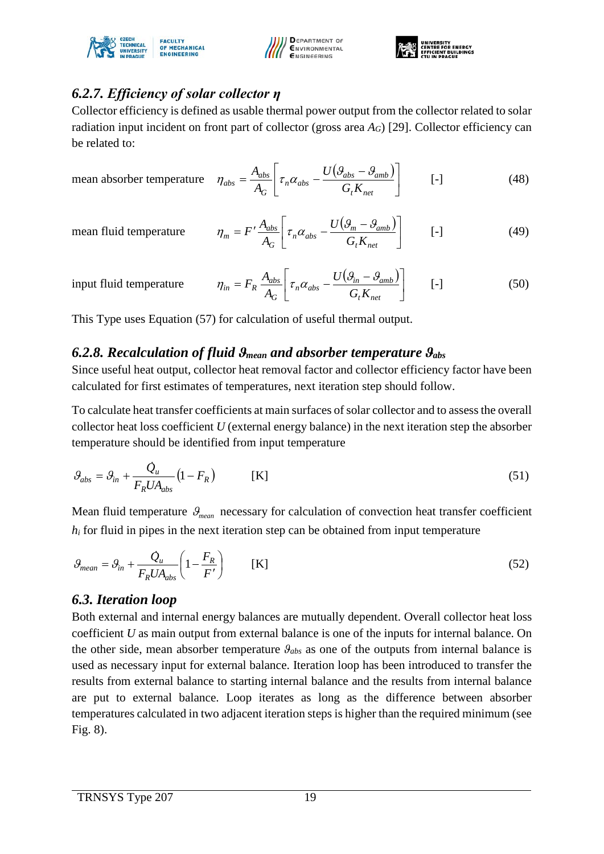





# *6.2.7. Efficiency of solar collector η*

Collector efficiency is defined as usable thermal power output from the collector related to solar radiation input incident on front part of collector (gross area *AG*) [29]. Collector efficiency can be related to:

mean absorber temperature  $\eta$ 

$$
\eta_{abs} = \frac{A_{abs}}{A_G} \left[ \tau_n \alpha_{abs} - \frac{U(\mathcal{G}_{abs} - \mathcal{G}_{amb})}{G_t K_{net}} \right] \qquad \qquad [-1 \qquad \qquad (48)
$$

mean fluid temperature

$$
\eta_m = F' \frac{A_{abs}}{A_G} \left[ \tau_n \alpha_{abs} - \frac{U(\mathcal{G}_m - \mathcal{G}_{amb})}{G_t K_{net}} \right] \qquad \text{[-]}
$$

input fluid temperature

$$
\eta_{in} = F_R \frac{A_{abs}}{A_G} \left[ \tau_n \alpha_{abs} - \frac{U(\mathcal{G}_{in} - \mathcal{G}_{amb})}{G_t K_{net}} \right] \qquad \text{[-]}
$$

This Type uses Equation (57) for calculation of useful thermal output.

### *6.2.8. Recalculation of fluid ϑmean and absorber temperature ϑabs*

Since useful heat output, collector heat removal factor and collector efficiency factor have been calculated for first estimates of temperatures, next iteration step should follow.

To calculate heat transfer coefficients at main surfaces of solar collector and to assess the overall collector heat loss coefficient *U* (external energy balance) in the next iteration step the absorber temperature should be identified from input temperature

$$
\mathcal{G}_{abs} = \mathcal{G}_{in} + \frac{\dot{Q}_u}{F_R U A_{abs}} \left( 1 - F_R \right) \tag{51}
$$

Mean fluid temperature  $\mathcal{G}_{mean}$  necessary for calculation of convection heat transfer coefficient  $h_i$  for fluid in pipes in the next iteration step can be obtained from input temperature

$$
\mathcal{G}_{mean} = \mathcal{G}_{in} + \frac{\mathcal{Q}_{u}}{F_R U A_{abs}} \left( 1 - \frac{F_R}{F'} \right) \qquad \text{[K]}
$$

### *6.3. Iteration loop*

Both external and internal energy balances are mutually dependent. Overall collector heat loss coefficient *U* as main output from external balance is one of the inputs for internal balance. On the other side, mean absorber temperature *ϑabs* as one of the outputs from internal balance is used as necessary input for external balance. Iteration loop has been introduced to transfer the results from external balance to starting internal balance and the results from internal balance are put to external balance. Loop iterates as long as the difference between absorber temperatures calculated in two adjacent iteration steps is higher than the required minimum (see [Fig. 8\)](#page-19-0).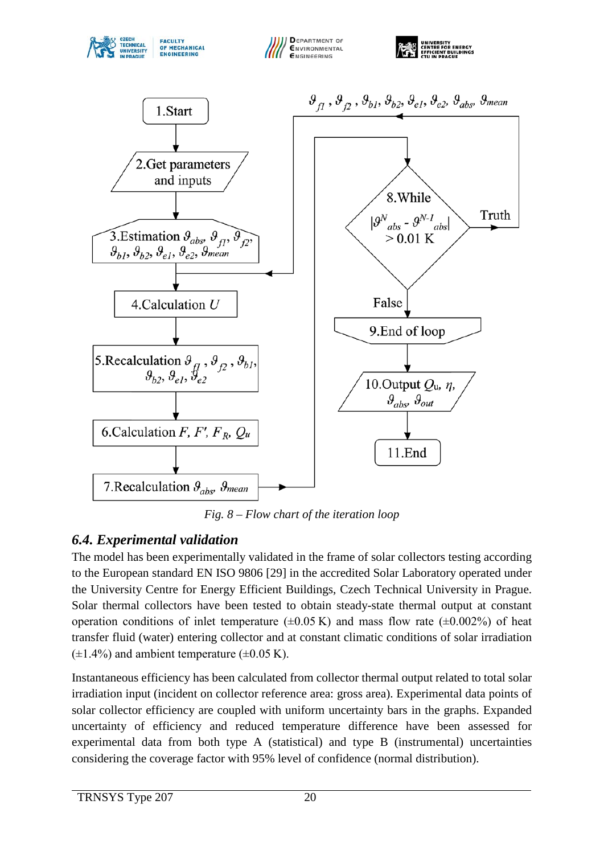







*Fig. 8 – Flow chart of the iteration loop*

### <span id="page-19-0"></span>*6.4. Experimental validation*

The model has been experimentally validated in the frame of solar collectors testing according to the European standard EN ISO 9806 [29] in the accredited Solar Laboratory operated under the University Centre for Energy Efficient Buildings, Czech Technical University in Prague. Solar thermal collectors have been tested to obtain steady-state thermal output at constant operation conditions of inlet temperature  $(\pm 0.05 \text{ K})$  and mass flow rate  $(\pm 0.002\%)$  of heat transfer fluid (water) entering collector and at constant climatic conditions of solar irradiation  $(\pm 1.4\%)$  and ambient temperature  $(\pm 0.05 \text{ K})$ .

Instantaneous efficiency has been calculated from collector thermal output related to total solar irradiation input (incident on collector reference area: gross area). Experimental data points of solar collector efficiency are coupled with uniform uncertainty bars in the graphs. Expanded uncertainty of efficiency and reduced temperature difference have been assessed for experimental data from both type A (statistical) and type B (instrumental) uncertainties considering the coverage factor with 95% level of confidence (normal distribution).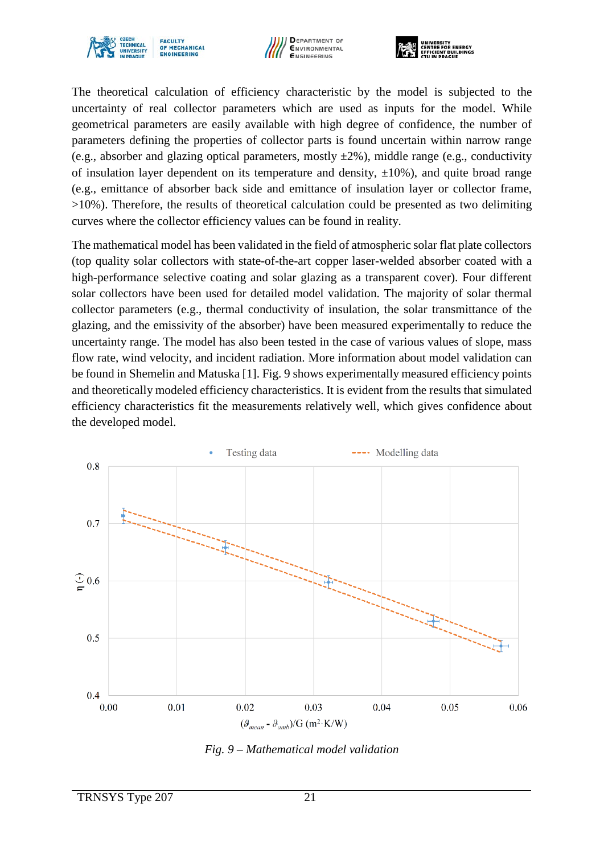





The theoretical calculation of efficiency characteristic by the model is subjected to the uncertainty of real collector parameters which are used as inputs for the model. While geometrical parameters are easily available with high degree of confidence, the number of parameters defining the properties of collector parts is found uncertain within narrow range (e.g., absorber and glazing optical parameters, mostly  $\pm 2\%$ ), middle range (e.g., conductivity of insulation layer dependent on its temperature and density,  $\pm 10\%$ ), and quite broad range (e.g., emittance of absorber back side and emittance of insulation layer or collector frame,  $>10\%$ ). Therefore, the results of theoretical calculation could be presented as two delimiting curves where the collector efficiency values can be found in reality.

The mathematical model has been validated in the field of atmospheric solar flat plate collectors (top quality solar collectors with state-of-the-art copper laser-welded absorber coated with a high-performance selective coating and solar glazing as a transparent cover). Four different solar collectors have been used for detailed model validation. The majority of solar thermal collector parameters (e.g., thermal conductivity of insulation, the solar transmittance of the glazing, and the emissivity of the absorber) have been measured experimentally to reduce the uncertainty range. The model has also been tested in the case of various values of slope, mass flow rate, wind velocity, and incident radiation. More information about model validation can be found in Shemelin and Matuska [1]. [Fig. 9](#page-20-0) shows experimentally measured efficiency points and theoretically modeled efficiency characteristics. It is evident from the results that simulated efficiency characteristics fit the measurements relatively well, which gives confidence about the developed model.



<span id="page-20-0"></span>*Fig. 9 – Mathematical model validation*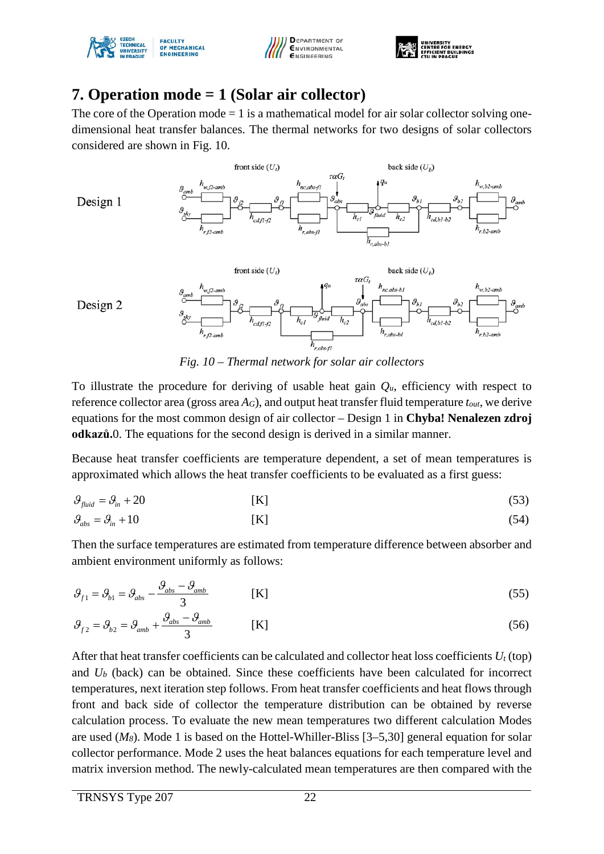





# **7. Operation mode = 1 (Solar air collector)**

The core of the Operation mode  $= 1$  is a mathematical model for air solar collector solving onedimensional heat transfer balances. The thermal networks for two designs of solar collectors considered are shown in [Fig. 10.](#page-21-0)



*Fig. 10 – Thermal network for solar air collectors*

<span id="page-21-0"></span>To illustrate the procedure for deriving of usable heat gain  $Q<sub>u</sub>$ , efficiency with respect to reference collector area (gross area *AG*), and output heat transfer fluid temperature *tout*, we derive equations for the most common design of air collector – Design 1 in **Chyba! Nenalezen zdroj odkazů.**0. The equations for the second design is derived in a similar manner.

Because heat transfer coefficients are temperature dependent, a set of mean temperatures is approximated which allows the heat transfer coefficients to be evaluated as a first guess:

$$
\mathcal{G}_{\text{fluid}} = \mathcal{G}_{\text{in}} + 20 \tag{53}
$$

$$
\mathcal{G}_{\text{abs}} = \mathcal{G}_{\text{in}} + 10 \tag{54}
$$

Then the surface temperatures are estimated from temperature difference between absorber and ambient environment uniformly as follows:

$$
\mathcal{G}_{f1} = \mathcal{G}_{ab} - \frac{\mathcal{G}_{abs} - \mathcal{G}_{amb}}{3}
$$
 [K]

$$
\mathcal{G}_{f2} = \mathcal{G}_{b2} = \mathcal{G}_{amb} + \frac{\mathcal{G}_{abs} - \mathcal{G}_{amb}}{3}
$$
 [K]

After that heat transfer coefficients can be calculated and collector heat loss coefficients  $U_t$  (top) and *Ub* (back) can be obtained. Since these coefficients have been calculated for incorrect temperatures, next iteration step follows. From heat transfer coefficients and heat flows through front and back side of collector the temperature distribution can be obtained by reverse calculation process. To evaluate the new mean temperatures two different calculation Modes are used (*M8*). Mode 1 is based on the Hottel-Whiller-Bliss [3–5,30] general equation for solar collector performance. Mode 2 uses the heat balances equations for each temperature level and matrix inversion method. The newly-calculated mean temperatures are then compared with the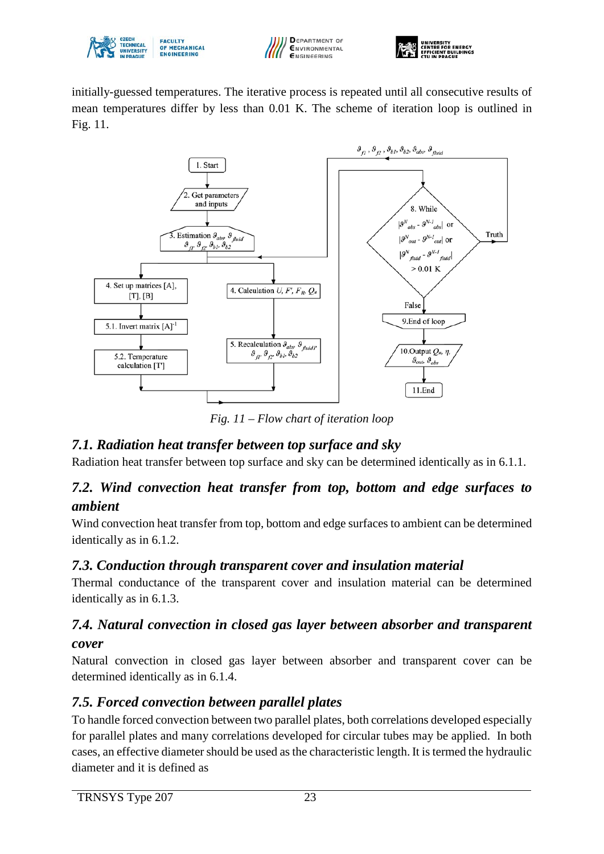





initially-guessed temperatures. The iterative process is repeated until all consecutive results of mean temperatures differ by less than 0.01 K. The scheme of iteration loop is outlined in [Fig. 11.](#page-22-0)



*Fig. 11 – Flow chart of iteration loop*

### <span id="page-22-0"></span>*7.1. Radiation heat transfer between top surface and sky*

Radiation heat transfer between top surface and sky can be determined identically as in 6.1.1.

### *7.2. Wind convection heat transfer from top, bottom and edge surfaces to ambient*

Wind convection heat transfer from top, bottom and edge surfaces to ambient can be determined identically as in 6.1.2.

#### *7.3. Conduction through transparent cover and insulation material*

Thermal conductance of the transparent cover and insulation material can be determined identically as in 6.1.3.

#### *7.4. Natural convection in closed gas layer between absorber and transparent cover*

Natural convection in closed gas layer between absorber and transparent cover can be determined identically as in 6.1.4.

### *7.5. Forced convection between parallel plates*

To handle forced convection between two parallel plates, both correlations developed especially for parallel plates and many correlations developed for circular tubes may be applied. In both cases, an effective diameter should be used as the characteristic length. It is termed the hydraulic diameter and it is defined as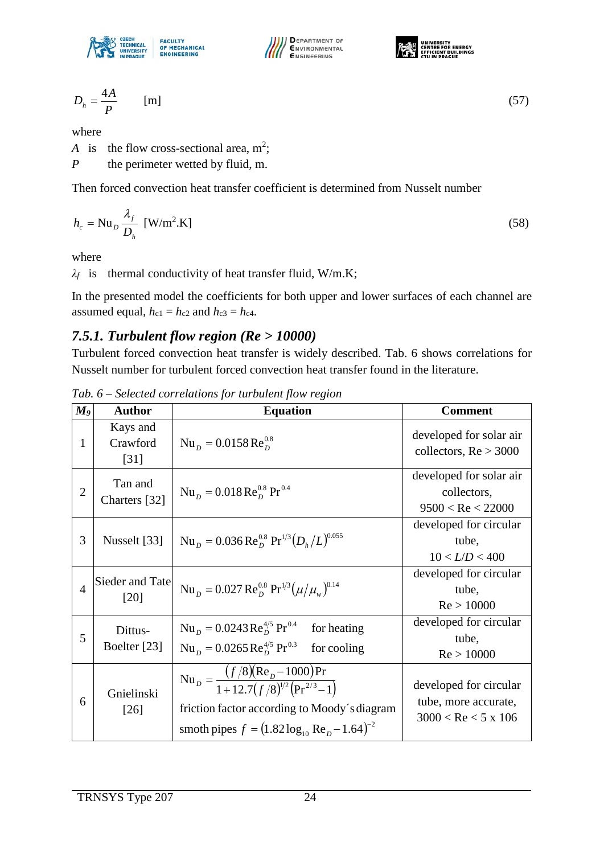





$$
D_h = \frac{4A}{P} \tag{57}
$$

where

*A* is the flow cross-sectional area,  $m^2$ ;

*P* the perimeter wetted by fluid, m.

Then forced convection heat transfer coefficient is determined from Nusselt number

$$
h_c = \text{Nu}_D \frac{\lambda_f}{D_h} \text{ [W/m}^2 \text{.K]}
$$
 (58)

where

*λf* is thermal conductivity of heat transfer fluid, W/m.K;

In the presented model the coefficients for both upper and lower surfaces of each channel are assumed equal,  $h_{c1} = h_{c2}$  and  $h_{c3} = h_{c4}$ .

#### *7.5.1. Turbulent flow region (Re > 10000)*

Turbulent forced convection heat transfer is widely described. [Tab. 6](#page-23-0) shows correlations for Nusselt number for turbulent forced convection heat transfer found in the literature.

| $\boldsymbol{M_9}$ | <b>Author</b>                             | <b>Equation</b>                                                                                                                                                                           | <b>Comment</b>                                                            |
|--------------------|-------------------------------------------|-------------------------------------------------------------------------------------------------------------------------------------------------------------------------------------------|---------------------------------------------------------------------------|
| $\mathbf{1}$       | Kays and<br>Crawford<br>$\left[31\right]$ | $Nu_{D} = 0.0158 \text{Re}_{D}^{0.8}$                                                                                                                                                     | developed for solar air<br>collectors, $Re > 3000$                        |
| $\overline{2}$     | Tan and<br>Charters [32]                  | $Nu_{D} = 0.018 \text{ Re}_{D}^{0.8} \text{ Pr}^{0.4}$                                                                                                                                    | developed for solar air<br>collectors,<br>9500 < Re < 22000               |
| 3                  | Nusselt [33]                              | $Nu_{D} = 0.036 \text{Re}_{D}^{0.8} \text{Pr}^{1/3} (D_h/L)^{0.055}$                                                                                                                      | developed for circular<br>tube,<br>10 < L/D < 400                         |
| $\overline{4}$     | Sieder and Tate<br>[20]                   | $Nu_{D} = 0.027 \text{ Re}_{D}^{0.8} \text{ Pr}^{1/3} (\mu/\mu_{w})^{0.14}$                                                                                                               | developed for circular<br>tube,<br>Re > 10000                             |
| 5                  | Dittus-<br>Boelter [23]                   | $Nu_{D} = 0.0243 \text{ Re}_{D}^{4/5} \text{ Pr}^{0.4}$<br>for heating<br>$Nu_{D} = 0.0265 \text{Re}_{D}^{4/5} \text{Pr}^{0.3}$<br>for cooling                                            | developed for circular<br>tube,<br>Re > 10000                             |
| 6                  | Gnielinski<br>$[26]$                      | $Nu_{D} = \frac{(f/8)(Re_{D} - 1000)Pr}{1 + 12.7(f/8)^{1/2}(Pr^{2/3} - 1)}$<br>friction factor according to Moody's diagram<br>smoth pipes $f = (1.82 \log_{10} \text{Re}_p - 1.64)^{-2}$ | developed for circular<br>tube, more accurate,<br>$3000 <$ Re $<$ 5 x 106 |

<span id="page-23-0"></span>*Tab. 6 – Selected correlations for turbulent flow region*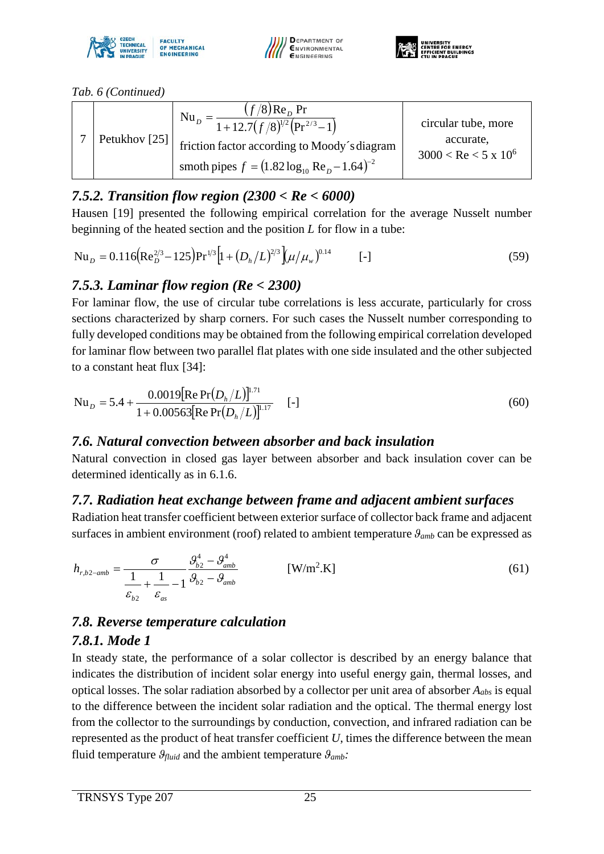





*[Tab. 6](#page-23-0) (Continued)*

|  | Petukhov [25] | $(f/8)$ Re <sub>n</sub> Pr<br>$Nu_{D}$<br>$=\frac{1}{1+12.7(f/8)^{1/2}(Pr^{2/3}-1)}$ | circular tube, more                              |
|--|---------------|--------------------------------------------------------------------------------------|--------------------------------------------------|
|  |               | friction factor according to Moody's diagram                                         | accurate.<br>$3000 <$ Re $<$ 5 x 10 <sup>6</sup> |
|  |               | smoth pipes $f = (1.82 \log_{10} \text{Re}_p - 1.64)^{-2}$                           |                                                  |

## *7.5.2. Transition flow region (2300 < Re < 6000)*

Hausen [19] presented the following empirical correlation for the average Nusselt number beginning of the heated section and the position *L* for flow in a tube:

$$
Nu_{D} = 0.116 \left( Re_{D}^{2/3} - 125 \right) Pr^{1/3} \left[ 1 + \left( D_{h}/L \right)^{2/3} \right] \left( \mu / \mu_{w} \right)^{0.14} \qquad \text{[-]}
$$

## *7.5.3. Laminar flow region (Re < 2300)*

For laminar flow, the use of circular tube correlations is less accurate, particularly for cross sections characterized by sharp corners. For such cases the Nusselt number corresponding to fully developed conditions may be obtained from the following empirical correlation developed for laminar flow between two parallel flat plates with one side insulated and the other subjected to a constant heat flux [34]:

$$
Nu_{D} = 5.4 + \frac{0.0019[Re Pr(D_h/L)]^{1.71}}{1 + 0.00563[Re Pr(D_h/L)]^{1.17}} \quad [-]
$$
\n(60)

### *7.6. Natural convection between absorber and back insulation*

Natural convection in closed gas layer between absorber and back insulation cover can be determined identically as in 6.1.6.

### *7.7. Radiation heat exchange between frame and adjacent ambient surfaces*

Radiation heat transfer coefficient between exterior surface of collector back frame and adjacent surfaces in ambient environment (roof) related to ambient temperature *ϑamb* can be expressed as

$$
h_{r,b2-amb} = \frac{\sigma}{\frac{1}{\varepsilon_{b2}} + \frac{1}{\varepsilon_{as}} - 1} \frac{\mathcal{G}_{b2}^4 - \mathcal{G}_{amb}^4}{\mathcal{G}_{b2} - \mathcal{G}_{amb}}
$$
 [W/m<sup>2</sup>.K] (61)

### *7.8. Reverse temperature calculation*

### *7.8.1. Mode 1*

In steady state, the performance of a solar collector is described by an energy balance that indicates the distribution of incident solar energy into useful energy gain, thermal losses, and optical losses. The solar radiation absorbed by a collector per unit area of absorber *Aabs* is equal to the difference between the incident solar radiation and the optical. The thermal energy lost from the collector to the surroundings by conduction, convection, and infrared radiation can be represented as the product of heat transfer coefficient *U*, times the difference between the mean fluid temperature  $\theta_{fluid}$  and the ambient temperature  $\theta_{amb}$ .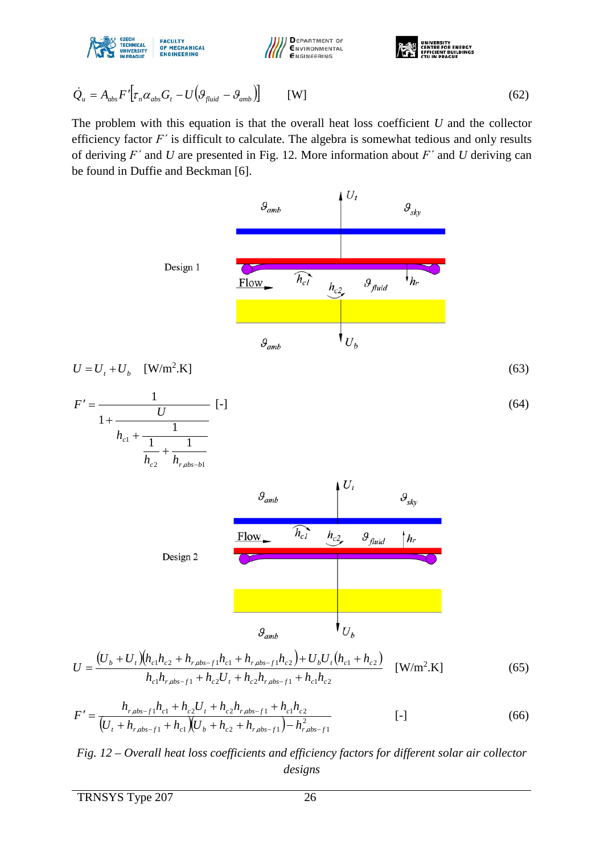





$$
\dot{Q}_u = A_{abs} F' \left[ \tau_n \alpha_{abs} G_t - U \left( \mathcal{G}_{fluid} - \mathcal{G}_{amb} \right) \right]
$$
 [W] (62)

The problem with this equation is that the overall heat loss coefficient *U* and the collector efficiency factor *F΄* is difficult to calculate. The algebra is somewhat tedious and only results of deriving *F΄* and *U* are presented in [Fig. 12.](#page-25-0) More information about *F΄* and *U* deriving can be found in Duffie and Beckman [6].



$$
U = \frac{(U_b + U_t)(h_{c1}h_{c2} + h_{r,abs-f1}h_{c1} + h_{r,abs-f1}h_{c2}) + U_bU_t(h_{c1} + h_{c2})}{h_{c1}h_{r,abs-f1} + h_{c2}U_t + h_{c2}h_{r,abs-f1} + h_{c1}h_{c2}} \quad \text{[W/m2.K]} \tag{65}
$$

$$
F' = \frac{h_{r,abs-f1}h_{c1} + h_{c2}U_t + h_{c2}h_{r,abs-f1} + h_{c1}h_{c2}}{(U_t + h_{r,abs-f1} + h_{c1})(U_b + h_{c2} + h_{r,abs-f1}) - h_{r,abs-f1}^2}
$$
 [–] (66)

<span id="page-25-0"></span>*Fig. 12 – Overall heat loss coefficients and efficiency factors for different solar air collector designs*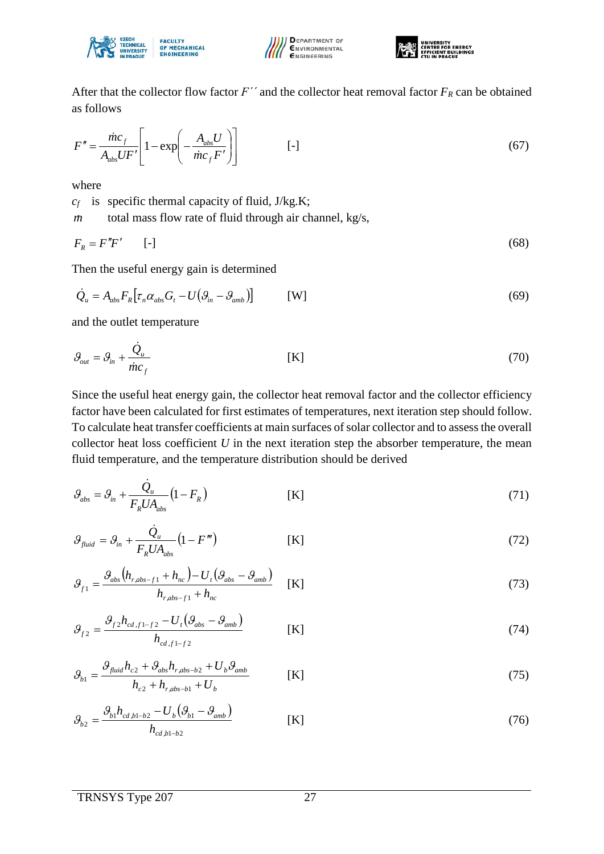





After that the collector flow factor  $F'$  and the collector heat removal factor  $F_R$  can be obtained as follows

$$
F'' = \frac{\dot{m}c_f}{A_{abs}UF'} \left[ 1 - \exp\left( -\frac{A_{abs}U}{\dot{m}c_fF'} \right) \right]
$$
 [-1] (67)

where

*cf* is specific thermal capacity of fluid, J/kg.K;

*m* total mass flow rate of fluid through air channel, kg/s,

$$
F_R = F''F' \qquad [-]
$$
\n<sup>(68)</sup>

Then the useful energy gain is determined

$$
\dot{Q}_u = A_{abs} F_R \left[ \tau_n \alpha_{abs} G_t - U \left( \mathcal{G}_{in} - \mathcal{G}_{amb} \right) \right] \qquad \text{[W]} \tag{69}
$$

and the outlet temperature

$$
\mathcal{G}_{out} = \mathcal{G}_{in} + \frac{\dot{\mathcal{Q}}_u}{\dot{m}c_f} \tag{70}
$$

Since the useful heat energy gain, the collector heat removal factor and the collector efficiency factor have been calculated for first estimates of temperatures, next iteration step should follow. To calculate heat transfer coefficients at main surfaces of solar collector and to assess the overall collector heat loss coefficient *U* in the next iteration step the absorber temperature, the mean fluid temperature, and the temperature distribution should be derived

$$
\mathcal{G}_{\text{abs}} = \mathcal{G}_{\text{in}} + \frac{\dot{Q}_{\text{u}}}{F_{\text{R}} U A_{\text{abs}}} (1 - F_{\text{R}})
$$
 [K] (71)

$$
\mathcal{G}_{\text{fluid}} = \mathcal{G}_{\text{in}} + \frac{\dot{\mathcal{Q}}_{\text{u}}}{F_R U A_{\text{abs}}} \left( 1 - F^{\prime \prime \prime} \right) \tag{72}
$$

$$
\mathcal{G}_{f1} = \frac{\mathcal{G}_{abs}\left(h_{r,abs-f1} + h_{nc}\right) - U_f\left(\mathcal{G}_{abs} - \mathcal{G}_{amb}\right)}{h_{r,abs-f1} + h_{nc}}
$$
(73)

$$
\mathcal{G}_{f2} = \frac{\mathcal{G}_{f2} h_{cd,f1-f2} - U_t (\mathcal{G}_{abs} - \mathcal{G}_{amb})}{h_{cd,f1-f2}}
$$
 [K] (74)

$$
\mathcal{G}_{b1} = \frac{\mathcal{G}_{fluid} h_{c2} + \mathcal{G}_{abs} h_{r,abs-b2} + U_b \mathcal{G}_{amb}}{h_{c2} + h_{r,abs-b1} + U_b}
$$
 [K] (75)

$$
\mathcal{G}_{b2} = \frac{\mathcal{G}_{b1} h_{cd,b1-b2} - U_b (\mathcal{G}_{b1} - \mathcal{G}_{amb})}{h_{cd,b1-b2}}
$$
(76)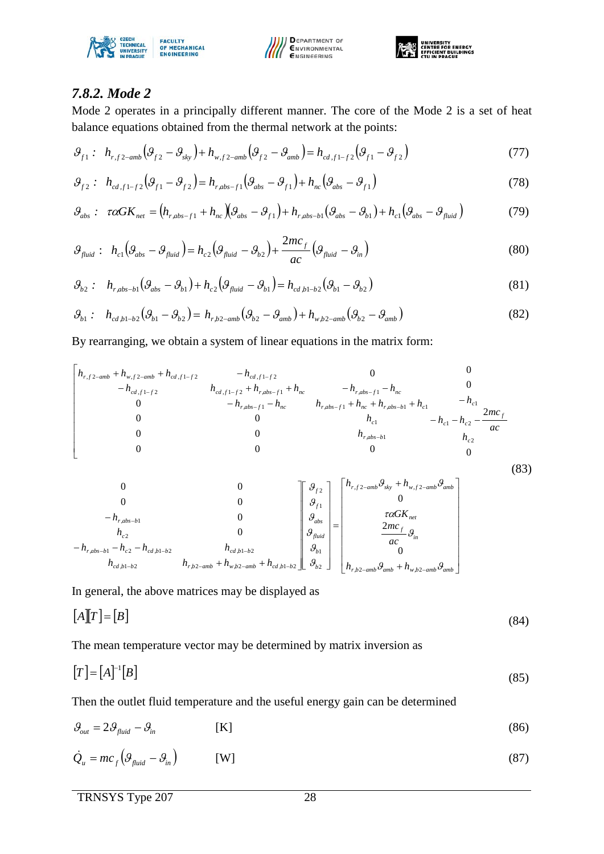





#### *7.8.2. Mode 2*

Mode 2 operates in a principally different manner. The core of the Mode 2 is a set of heat balance equations obtained from the thermal network at the points:

$$
\mathcal{G}_{f1}: \quad h_{r,f2-amb}\left(\mathcal{G}_{f2}-\mathcal{G}_{sky}\right)+h_{w,f2-amb}\left(\mathcal{G}_{f2}-\mathcal{G}_{amb}\right)=h_{cd,f1-f2}\left(\mathcal{G}_{f1}-\mathcal{G}_{f2}\right) \tag{77}
$$

$$
\mathcal{G}_{f2}: \quad h_{cd,f1-f2}(\mathcal{G}_{f1}-\mathcal{G}_{f2})=h_{r,abs-f1}(\mathcal{G}_{abs}-\mathcal{G}_{f1})+h_{nc}(\mathcal{G}_{abs}-\mathcal{G}_{f1})
$$
\n
$$
(78)
$$

$$
\mathcal{G}_{abs}: \ \tau\alpha GK_{net} = \left(h_{r,abs-f1} + h_{nc}\right)\left(\mathcal{G}_{abs} - \mathcal{G}_{f1}\right) + h_{r,abs-b1}\left(\mathcal{G}_{abs} - \mathcal{G}_{b1}\right) + h_{c1}\left(\mathcal{G}_{abs} - \mathcal{G}_{fluid}\right) \tag{79}
$$

$$
\mathcal{G}_{\text{fluid}}: h_{c1} \left( \mathcal{G}_{\text{abs}} - \mathcal{G}_{\text{fluid}} \right) = h_{c2} \left( \mathcal{G}_{\text{fluid}} - \mathcal{G}_{b2} \right) + \frac{2mc_f}{ac} \left( \mathcal{G}_{\text{fluid}} - \mathcal{G}_{\text{in}} \right)
$$
(80)

$$
\mathcal{G}_{b2}: \quad h_{r,abs-b1}(\mathcal{G}_{abs} - \mathcal{G}_{b1}) + h_{c2}(\mathcal{G}_{fluid} - \mathcal{G}_{b1}) = h_{cd,b1-b2}(\mathcal{G}_{b1} - \mathcal{G}_{b2})
$$
\n(81)

$$
\mathcal{G}_{b1}: \quad h_{cd,b1-b2}(\mathcal{G}_{b1}-\mathcal{G}_{b2})=h_{r,b2-amb}(\mathcal{G}_{b2}-\mathcal{G}_{amb})+h_{w,b2-amb}(\mathcal{G}_{b2}-\mathcal{G}_{amb})
$$
\n(82)

By rearranging, we obtain a system of linear equations in the matrix form:

$$
\begin{vmatrix}\nh_{r,f2-amb} + h_{w,f2-amb} + h_{cd,f1-f2} & -h_{cd,f1-f2} & 0 & 0 \\
-h_{cd,f1-f2} & h_{cd,f1-f2} + h_{r,abs-f1} + h_{nc} & -h_{r,abs-f1} - h_{nc} & 0 \\
0 & -h_{r,abs-f1} - h_{nc} & h_{r,abs-f1} + h_{nc} + h_{r,abs-b1} + h_{c1} & -h_{c1} \\
0 & 0 & h_{c1} & -h_{c1} - h_{c2} - \frac{2mc_f}{ac} \\
0 & 0 & 0 & h_{r,abs-b1} & h_{c2}\n\end{vmatrix}
$$

$$
\begin{bmatrix}\n0 & 0 & 0 \\
0 & 0 & 0 \\
h_{r,abs-b1} & 0 & g_{r1} \\
h_{c2} & 0 & 0 \\
h_{cd,b1-b2} & h_{rd,b1-b2} & h_{w,b2-amb} + h_{w,b2-amb} + h_{cd,b1-b2}\n\end{bmatrix}\n\begin{bmatrix}\n\mathcal{G}_{f2} \\
\mathcal{G}_{f1} \\
\mathcal{G}_{g1} \\
\mathcal{G}_{g2} \\
\mathcal{G}_{g3}\n\end{bmatrix} = \begin{bmatrix}\nh_{r,f2-amb}\mathcal{G}_{sky} + h_{w,f2-amb}\mathcal{G}_{amb} \\
0 \\
\mathcal{G}_{sw} \\
\mathcal{G}_{g1} \\
\mathcal{G}_{g2}\n\end{bmatrix}
$$
\n
$$
h_{r,b2-amb}\mathcal{G}_{amb} + h_{w,b2-amb}\mathcal{G}_{amb}
$$
\n(83)

In general, the above matrices may be displayed as

$$
[A][T] = [B] \tag{84}
$$

The mean temperature vector may be determined by matrix inversion as

$$
[T] = [A]^{-1}[B] \tag{85}
$$

Then the outlet fluid temperature and the useful energy gain can be determined

$$
\mathcal{G}_{out} = 2\mathcal{G}_{fluid} - \mathcal{G}_{in} \tag{86}
$$

$$
\dot{Q}_u = mc_f \left( \mathcal{G}_{fluid} - \mathcal{G}_{in} \right) \tag{87}
$$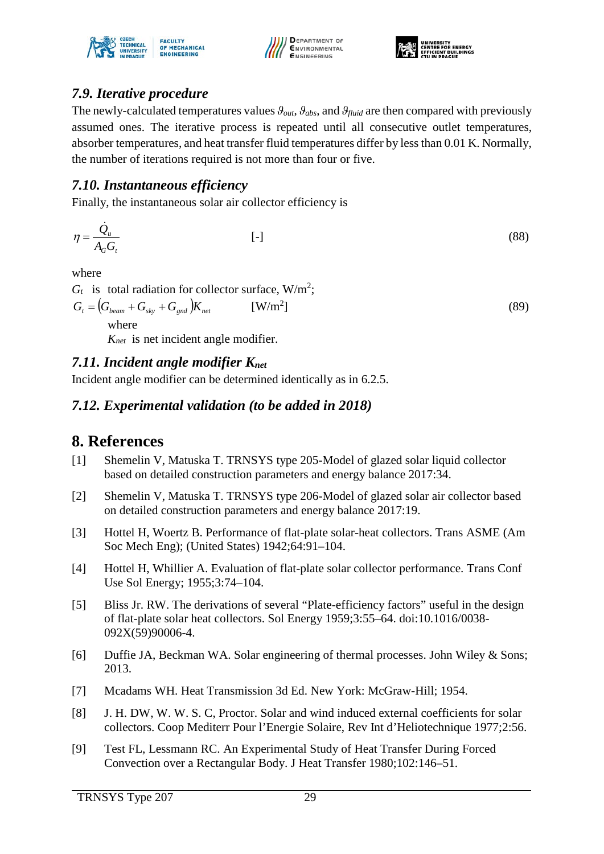





### *7.9. Iterative procedure*

The newly-calculated temperatures values *ϑout*, *ϑabs*, and *ϑfluid* are then compared with previously assumed ones. The iterative process is repeated until all consecutive outlet temperatures, absorber temperatures, and heat transfer fluid temperatures differ by less than 0.01 K. Normally, the number of iterations required is not more than four or five.

#### *7.10. Instantaneous efficiency*

Finally, the instantaneous solar air collector efficiency is

$$
\eta = \frac{\dot{Q}_u}{A_G G_t} \tag{88}
$$

where

 $G_t$  is total radiation for collector surface, W/m<sup>2</sup>;

 $G_t = ( G_{beam} + G_{sky} + G_{end} ) K_{net}$  [W/m<sup>2</sup>]

 $\left[ \right]$  (89)

where

*Knet* is net incident angle modifier.

## *7.11. Incident angle modifier Knet*

Incident angle modifier can be determined identically as in 6.2.5.

### *7.12. Experimental validation (to be added in 2018)*

# **8. References**

- [1] Shemelin V, Matuska T. TRNSYS type 205-Model of glazed solar liquid collector based on detailed construction parameters and energy balance 2017:34.
- [2] Shemelin V, Matuska T. TRNSYS type 206-Model of glazed solar air collector based on detailed construction parameters and energy balance 2017:19.
- [3] Hottel H, Woertz B. Performance of flat-plate solar-heat collectors. Trans ASME (Am Soc Mech Eng); (United States) 1942;64:91–104.
- [4] Hottel H, Whillier A. Evaluation of flat-plate solar collector performance. Trans Conf Use Sol Energy; 1955;3:74–104.
- [5] Bliss Jr. RW. The derivations of several "Plate-efficiency factors" useful in the design of flat-plate solar heat collectors. Sol Energy 1959;3:55–64. doi:10.1016/0038- 092X(59)90006-4.
- [6] Duffie JA, Beckman WA. Solar engineering of thermal processes. John Wiley & Sons; 2013.
- [7] Mcadams WH. Heat Transmission 3d Ed. New York: McGraw-Hill; 1954.
- [8] J. H. DW, W. W. S. C, Proctor. Solar and wind induced external coefficients for solar collectors. Coop Mediterr Pour l'Energie Solaire, Rev Int d'Heliotechnique 1977;2:56.
- [9] Test FL, Lessmann RC. An Experimental Study of Heat Transfer During Forced Convection over a Rectangular Body. J Heat Transfer 1980;102:146–51.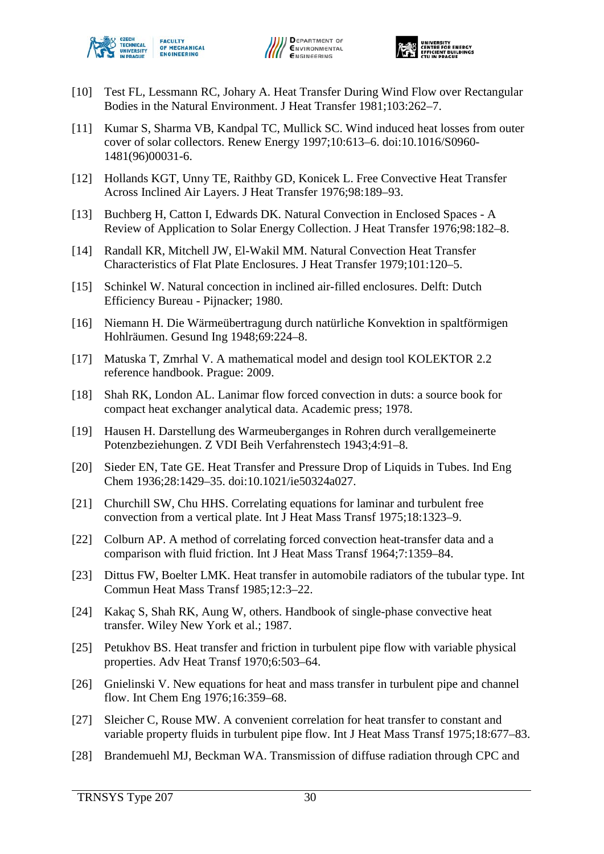





- [10] Test FL, Lessmann RC, Johary A. Heat Transfer During Wind Flow over Rectangular Bodies in the Natural Environment. J Heat Transfer 1981;103:262–7.
- [11] Kumar S, Sharma VB, Kandpal TC, Mullick SC. Wind induced heat losses from outer cover of solar collectors. Renew Energy 1997;10:613–6. doi:10.1016/S0960- 1481(96)00031-6.
- [12] Hollands KGT, Unny TE, Raithby GD, Konicek L. Free Convective Heat Transfer Across Inclined Air Layers. J Heat Transfer 1976;98:189–93.
- [13] Buchberg H, Catton I, Edwards DK. Natural Convection in Enclosed Spaces A Review of Application to Solar Energy Collection. J Heat Transfer 1976;98:182–8.
- [14] Randall KR, Mitchell JW, El-Wakil MM. Natural Convection Heat Transfer Characteristics of Flat Plate Enclosures. J Heat Transfer 1979;101:120–5.
- [15] Schinkel W. Natural concection in inclined air-filled enclosures. Delft: Dutch Efficiency Bureau - Pijnacker; 1980.
- [16] Niemann H. Die Wärmeübertragung durch natürliche Konvektion in spaltförmigen Hohlräumen. Gesund Ing 1948;69:224–8.
- [17] Matuska T, Zmrhal V. A mathematical model and design tool KOLEKTOR 2.2 reference handbook. Prague: 2009.
- [18] Shah RK, London AL. Lanimar flow forced convection in duts: a source book for compact heat exchanger analytical data. Academic press; 1978.
- [19] Hausen H. Darstellung des Warmeuberganges in Rohren durch verallgemeinerte Potenzbeziehungen. Z VDI Beih Verfahrenstech 1943;4:91–8.
- [20] Sieder EN, Tate GE. Heat Transfer and Pressure Drop of Liquids in Tubes. Ind Eng Chem 1936;28:1429–35. doi:10.1021/ie50324a027.
- [21] Churchill SW, Chu HHS. Correlating equations for laminar and turbulent free convection from a vertical plate. Int J Heat Mass Transf 1975;18:1323–9.
- [22] Colburn AP. A method of correlating forced convection heat-transfer data and a comparison with fluid friction. Int J Heat Mass Transf 1964;7:1359–84.
- [23] Dittus FW, Boelter LMK. Heat transfer in automobile radiators of the tubular type. Int Commun Heat Mass Transf 1985;12:3–22.
- [24] Kakaç S, Shah RK, Aung W, others. Handbook of single-phase convective heat transfer. Wiley New York et al.; 1987.
- [25] Petukhov BS. Heat transfer and friction in turbulent pipe flow with variable physical properties. Adv Heat Transf 1970;6:503–64.
- [26] Gnielinski V. New equations for heat and mass transfer in turbulent pipe and channel flow. Int Chem Eng 1976;16:359–68.
- [27] Sleicher C, Rouse MW. A convenient correlation for heat transfer to constant and variable property fluids in turbulent pipe flow. Int J Heat Mass Transf 1975;18:677–83.
- [28] Brandemuehl MJ, Beckman WA. Transmission of diffuse radiation through CPC and